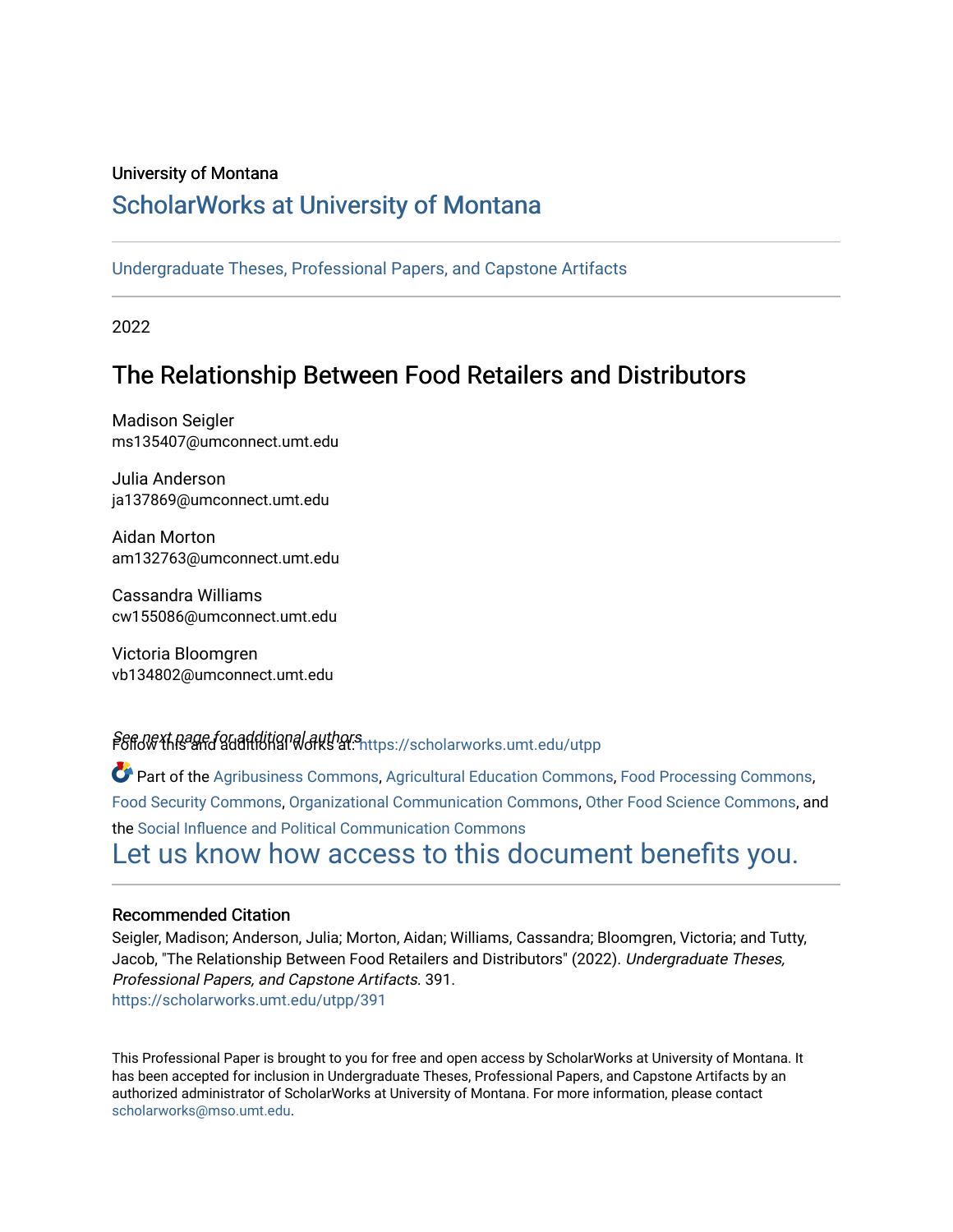#### University of Montana

#### [ScholarWorks at University of Montana](https://scholarworks.umt.edu/)

[Undergraduate Theses, Professional Papers, and Capstone Artifacts](https://scholarworks.umt.edu/utpp)

2022

## The Relationship Between Food Retailers and Distributors

Madison Seigler ms135407@umconnect.umt.edu

Julia Anderson ja137869@umconnect.umt.edu

Aidan Morton am132763@umconnect.umt.edu

Cassandra Williams cw155086@umconnect.umt.edu

Victoria Bloomgren vb134802@umconnect.umt.edu

Seffd@Xt.page.for.additional authors ...<br>F6ffd@Xths and additional authors at: [https://scholarworks.umt.edu/utpp](https://scholarworks.umt.edu/utpp?utm_source=scholarworks.umt.edu%2Futpp%2F391&utm_medium=PDF&utm_campaign=PDFCoverPages)

Part of the [Agribusiness Commons,](https://network.bepress.com/hgg/discipline/1051?utm_source=scholarworks.umt.edu%2Futpp%2F391&utm_medium=PDF&utm_campaign=PDFCoverPages) [Agricultural Education Commons](https://network.bepress.com/hgg/discipline/1231?utm_source=scholarworks.umt.edu%2Futpp%2F391&utm_medium=PDF&utm_campaign=PDFCoverPages), [Food Processing Commons](https://network.bepress.com/hgg/discipline/85?utm_source=scholarworks.umt.edu%2Futpp%2F391&utm_medium=PDF&utm_campaign=PDFCoverPages), [Food Security Commons](https://network.bepress.com/hgg/discipline/1332?utm_source=scholarworks.umt.edu%2Futpp%2F391&utm_medium=PDF&utm_campaign=PDFCoverPages), [Organizational Communication Commons,](https://network.bepress.com/hgg/discipline/335?utm_source=scholarworks.umt.edu%2Futpp%2F391&utm_medium=PDF&utm_campaign=PDFCoverPages) [Other Food Science Commons,](https://network.bepress.com/hgg/discipline/89?utm_source=scholarworks.umt.edu%2Futpp%2F391&utm_medium=PDF&utm_campaign=PDFCoverPages) and the [Social Influence and Political Communication Commons](https://network.bepress.com/hgg/discipline/337?utm_source=scholarworks.umt.edu%2Futpp%2F391&utm_medium=PDF&utm_campaign=PDFCoverPages)  [Let us know how access to this document benefits you.](https://goo.gl/forms/s2rGfXOLzz71qgsB2) 

#### Recommended Citation

Seigler, Madison; Anderson, Julia; Morton, Aidan; Williams, Cassandra; Bloomgren, Victoria; and Tutty, Jacob, "The Relationship Between Food Retailers and Distributors" (2022). Undergraduate Theses, Professional Papers, and Capstone Artifacts. 391. [https://scholarworks.umt.edu/utpp/391](https://scholarworks.umt.edu/utpp/391?utm_source=scholarworks.umt.edu%2Futpp%2F391&utm_medium=PDF&utm_campaign=PDFCoverPages)

This Professional Paper is brought to you for free and open access by ScholarWorks at University of Montana. It has been accepted for inclusion in Undergraduate Theses, Professional Papers, and Capstone Artifacts by an authorized administrator of ScholarWorks at University of Montana. For more information, please contact [scholarworks@mso.umt.edu.](mailto:scholarworks@mso.umt.edu)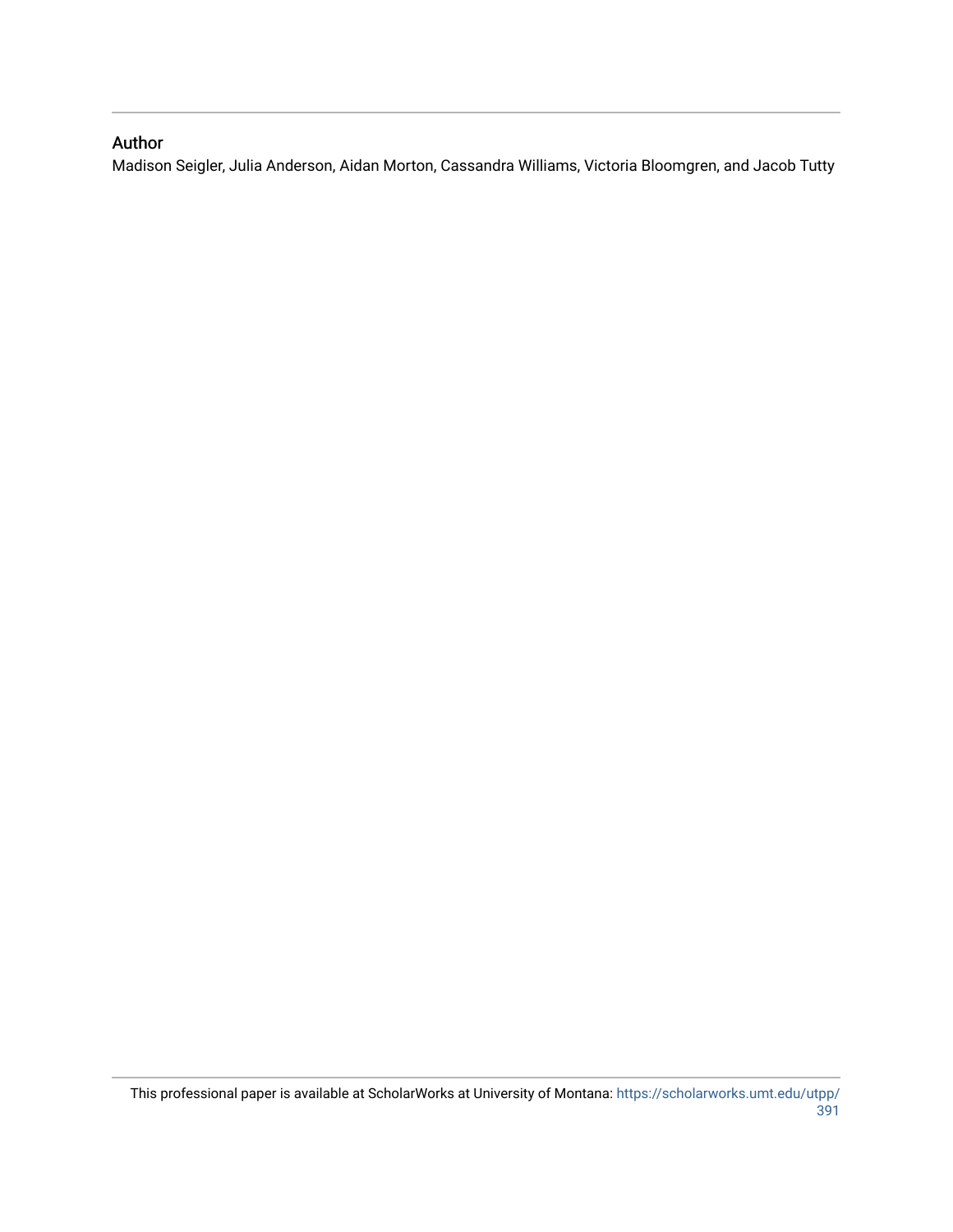#### Author

Madison Seigler, Julia Anderson, Aidan Morton, Cassandra Williams, Victoria Bloomgren, and Jacob Tutty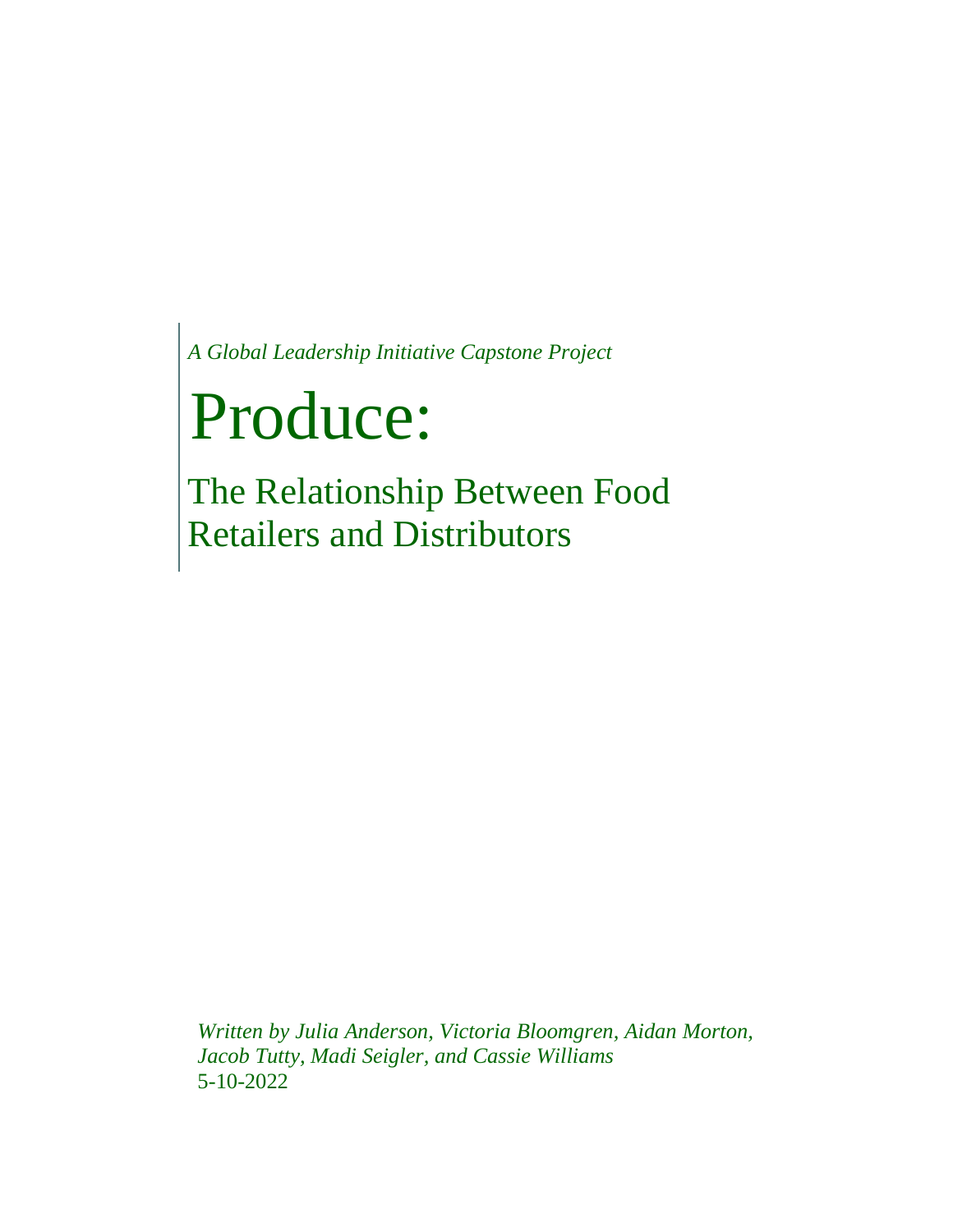*A Global Leadership Initiative Capstone Project*

# Produce:

The Relationship Between Food Retailers and Distributors

*Written by Julia Anderson, Victoria Bloomgren, Aidan Morton,*  Jacob Tutty, Madi Seigler, and Cassie Williams. 5-10-2022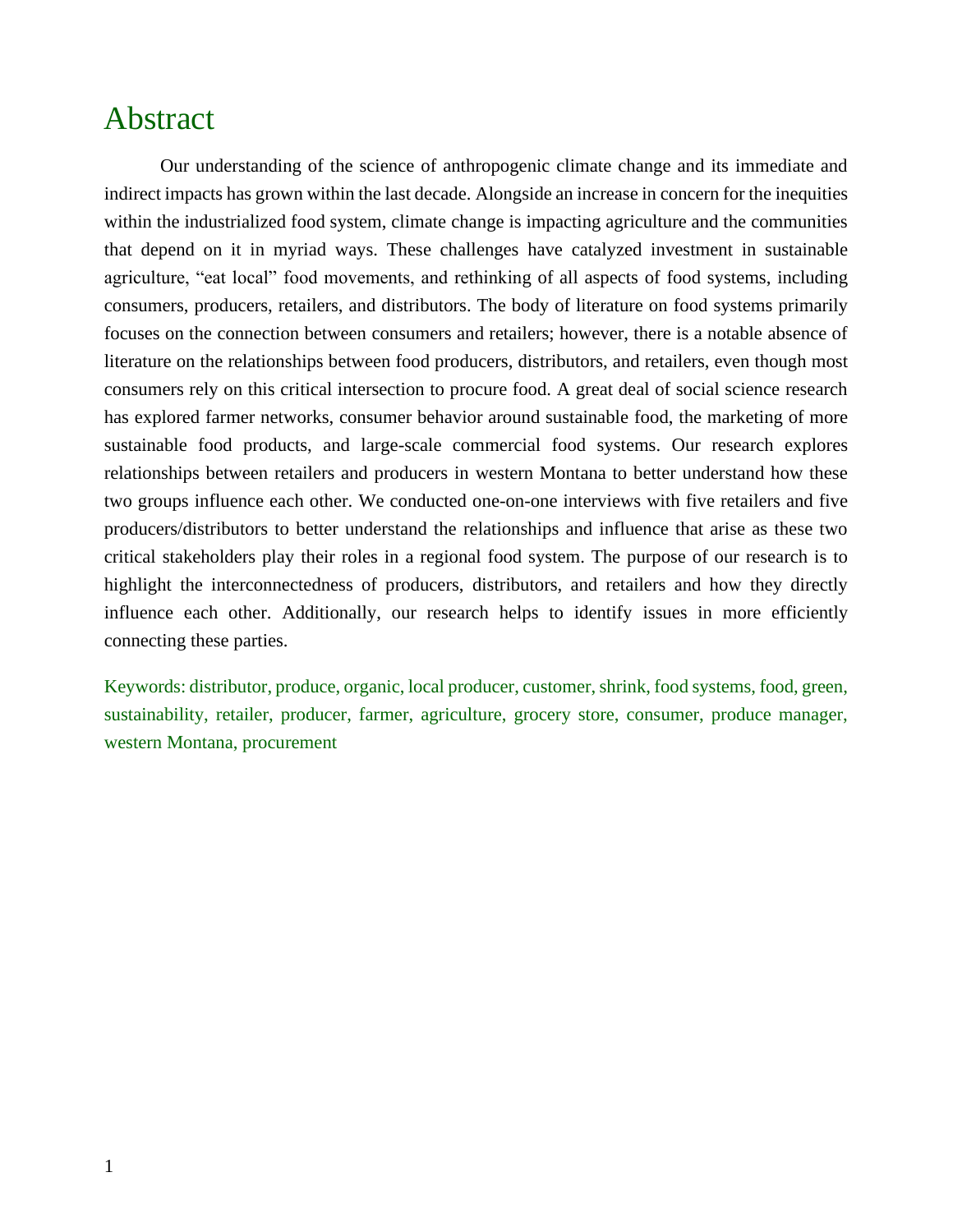# Abstract

Our understanding of the science of anthropogenic climate change and its immediate and indirect impacts has grown within the last decade. Alongside an increase in concern for the inequities within the industrialized food system, climate change is impacting agriculture and the communities that depend on it in myriad ways. These challenges have catalyzed investment in sustainable agriculture, "eat local" food movements, and rethinking of all aspects of food systems, including consumers, producers, retailers, and distributors. The body of literature on food systems primarily focuses on the connection between consumers and retailers; however, there is a notable absence of literature on the relationships between food producers, distributors, and retailers, even though most consumers rely on this critical intersection to procure food. A great deal of social science research has explored farmer networks, consumer behavior around sustainable food, the marketing of more sustainable food products, and large-scale commercial food systems. Our research explores relationships between retailers and producers in western Montana to better understand how these two groups influence each other. We conducted one-on-one interviews with five retailers and five producers/distributors to better understand the relationships and influence that arise as these two critical stakeholders play their roles in a regional food system. The purpose of our research is to highlight the interconnectedness of producers, distributors, and retailers and how they directly influence each other. Additionally, our research helps to identify issues in more efficiently connecting these parties.

Keywords: distributor, produce, organic, local producer, customer, shrink, food systems, food, green, sustainability, retailer, producer, farmer, agriculture, grocery store, consumer, produce manager, western Montana, procurement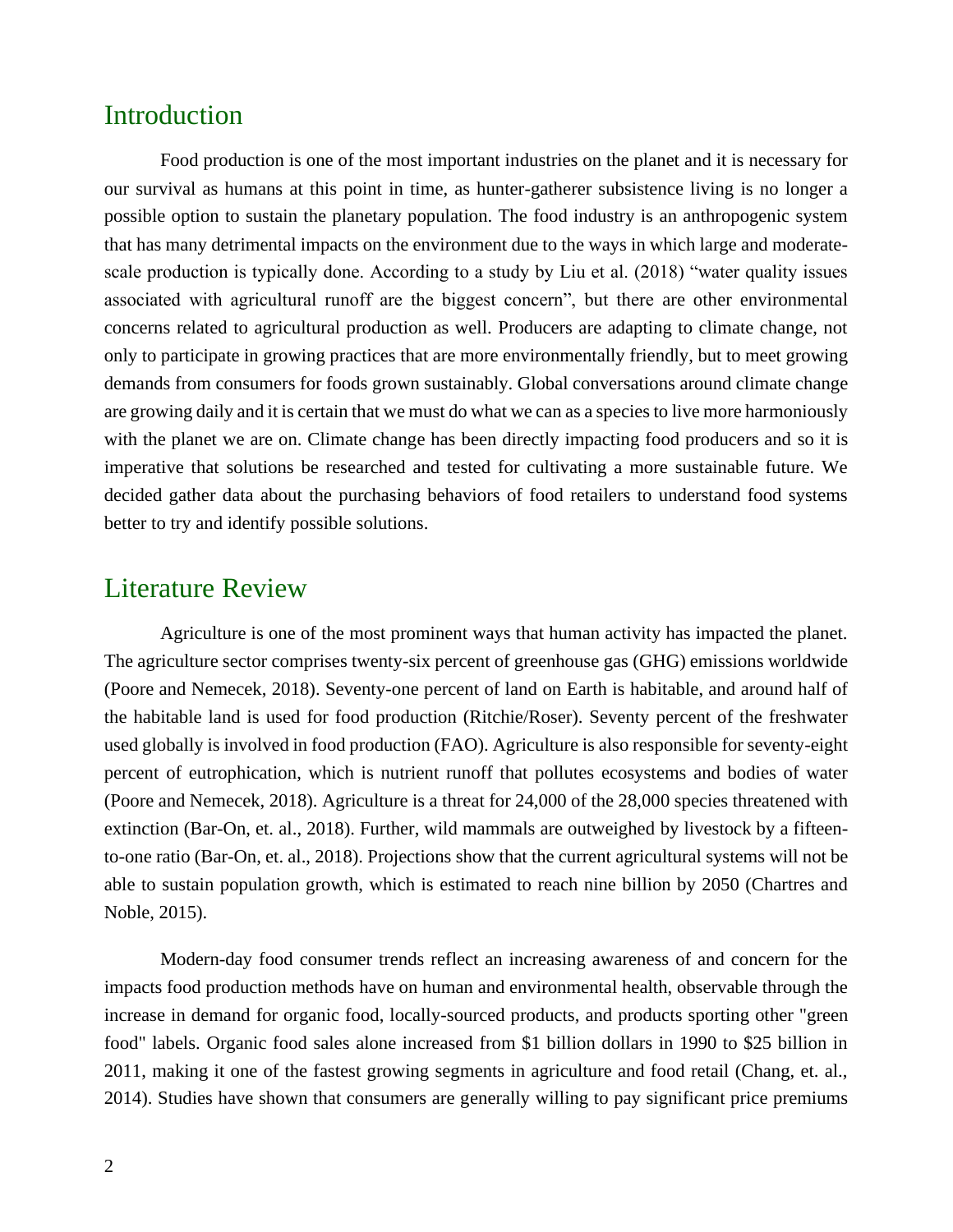### Introduction

Food production is one of the most important industries on the planet and it is necessary for our survival as humans at this point in time, as hunter-gatherer subsistence living is no longer a possible option to sustain the planetary population. The food industry is an anthropogenic system that has many detrimental impacts on the environment due to the ways in which large and moderatescale production is typically done. According to a study by Liu et al. (2018) "water quality issues associated with agricultural runoff are the biggest concern", but there are other environmental concerns related to agricultural production as well. Producers are adapting to climate change, not only to participate in growing practices that are more environmentally friendly, but to meet growing demands from consumers for foods grown sustainably. Global conversations around climate change are growing daily and it is certain that we must do what we can as a species to live more harmoniously with the planet we are on. Climate change has been directly impacting food producers and so it is imperative that solutions be researched and tested for cultivating a more sustainable future. We decided gather data about the purchasing behaviors of food retailers to understand food systems better to try and identify possible solutions.

### Literature Review

Agriculture is one of the most prominent ways that human activity has impacted the planet. The agriculture sector comprises twenty-six percent of greenhouse gas (GHG) emissions worldwide (Poore and Nemecek, 2018). Seventy-one percent of land on Earth is habitable, and around half of the habitable land is used for food production (Ritchie/Roser). Seventy percent of the freshwater used globally is involved in food production (FAO). Agriculture is also responsible for seventy-eight percent of eutrophication, which is nutrient runoff that pollutes ecosystems and bodies of water (Poore and Nemecek, 2018). Agriculture is a threat for 24,000 of the 28,000 species threatened with extinction (Bar-On, et. al., 2018). Further, wild mammals are outweighed by livestock by a fifteento-one ratio (Bar-On, et. al., 2018). Projections show that the current agricultural systems will not be able to sustain population growth, which is estimated to reach nine billion by 2050 (Chartres and Noble, 2015).

Modern-day food consumer trends reflect an increasing awareness of and concern for the impacts food production methods have on human and environmental health, observable through the increase in demand for organic food, locally-sourced products, and products sporting other "green food" labels. Organic food sales alone increased from \$1 billion dollars in 1990 to \$25 billion in 2011, making it one of the fastest growing segments in agriculture and food retail (Chang, et. al., 2014). Studies have shown that consumers are generally willing to pay significant price premiums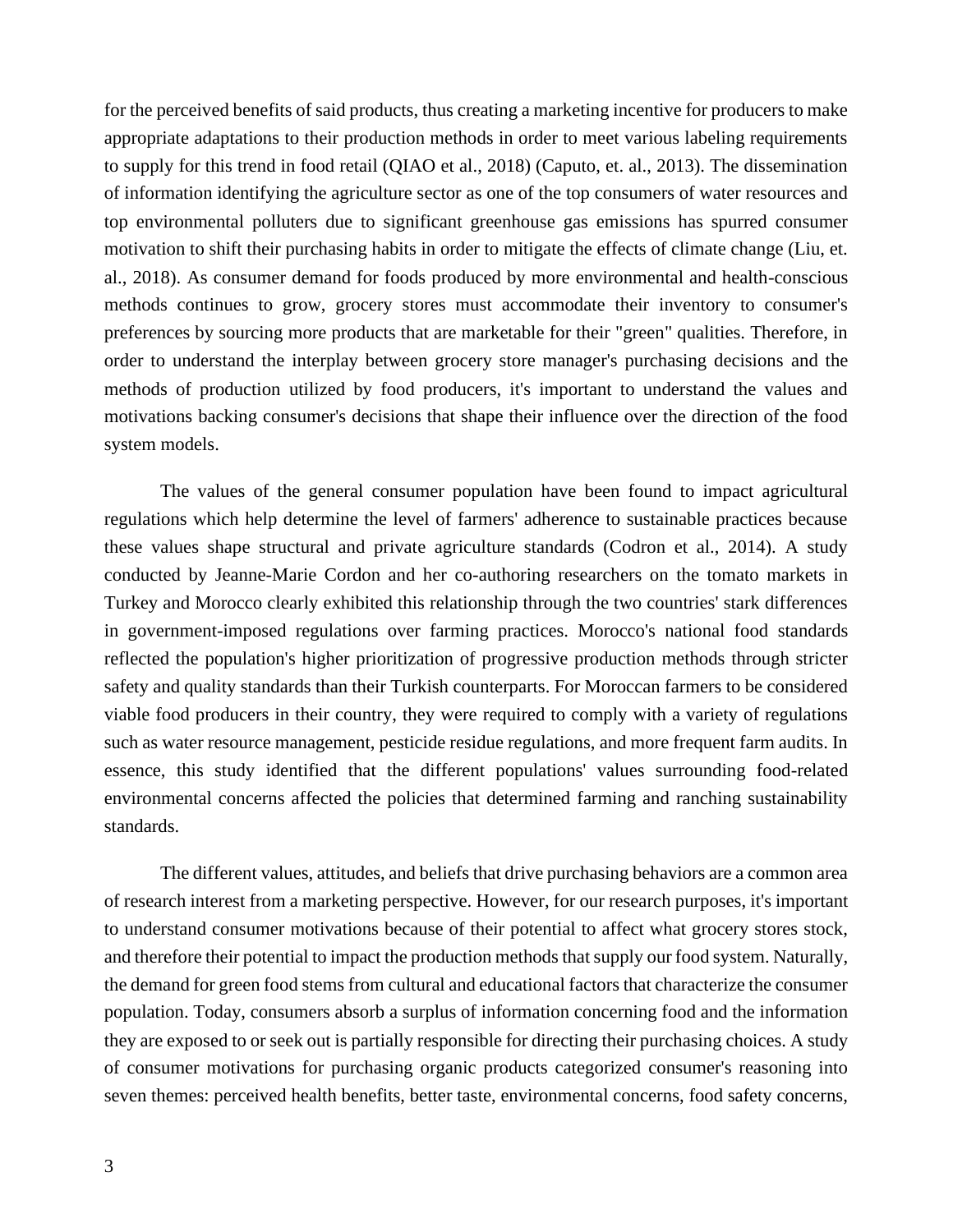for the perceived benefits of said products, thus creating a marketing incentive for producers to make appropriate adaptations to their production methods in order to meet various labeling requirements to supply for this trend in food retail (QIAO et al., 2018) (Caputo, et. al., 2013). The dissemination of information identifying the agriculture sector as one of the top consumers of water resources and top environmental polluters due to significant greenhouse gas emissions has spurred consumer motivation to shift their purchasing habits in order to mitigate the effects of climate change (Liu, et. al., 2018). As consumer demand for foods produced by more environmental and health-conscious methods continues to grow, grocery stores must accommodate their inventory to consumer's preferences by sourcing more products that are marketable for their "green" qualities. Therefore, in order to understand the interplay between grocery store manager's purchasing decisions and the methods of production utilized by food producers, it's important to understand the values and motivations backing consumer's decisions that shape their influence over the direction of the food system models.

The values of the general consumer population have been found to impact agricultural regulations which help determine the level of farmers' adherence to sustainable practices because these values shape structural and private agriculture standards (Codron et al., 2014). A study conducted by Jeanne-Marie Cordon and her co-authoring researchers on the tomato markets in Turkey and Morocco clearly exhibited this relationship through the two countries' stark differences in government-imposed regulations over farming practices. Morocco's national food standards reflected the population's higher prioritization of progressive production methods through stricter safety and quality standards than their Turkish counterparts. For Moroccan farmers to be considered viable food producers in their country, they were required to comply with a variety of regulations such as water resource management, pesticide residue regulations, and more frequent farm audits. In essence, this study identified that the different populations' values surrounding food-related environmental concerns affected the policies that determined farming and ranching sustainability standards.

The different values, attitudes, and beliefs that drive purchasing behaviors are a common area of research interest from a marketing perspective. However, for our research purposes, it's important to understand consumer motivations because of their potential to affect what grocery stores stock, and therefore their potential to impact the production methods that supply our food system. Naturally, the demand for green food stems from cultural and educational factors that characterize the consumer population. Today, consumers absorb a surplus of information concerning food and the information they are exposed to or seek out is partially responsible for directing their purchasing choices. A study of consumer motivations for purchasing organic products categorized consumer's reasoning into seven themes: perceived health benefits, better taste, environmental concerns, food safety concerns,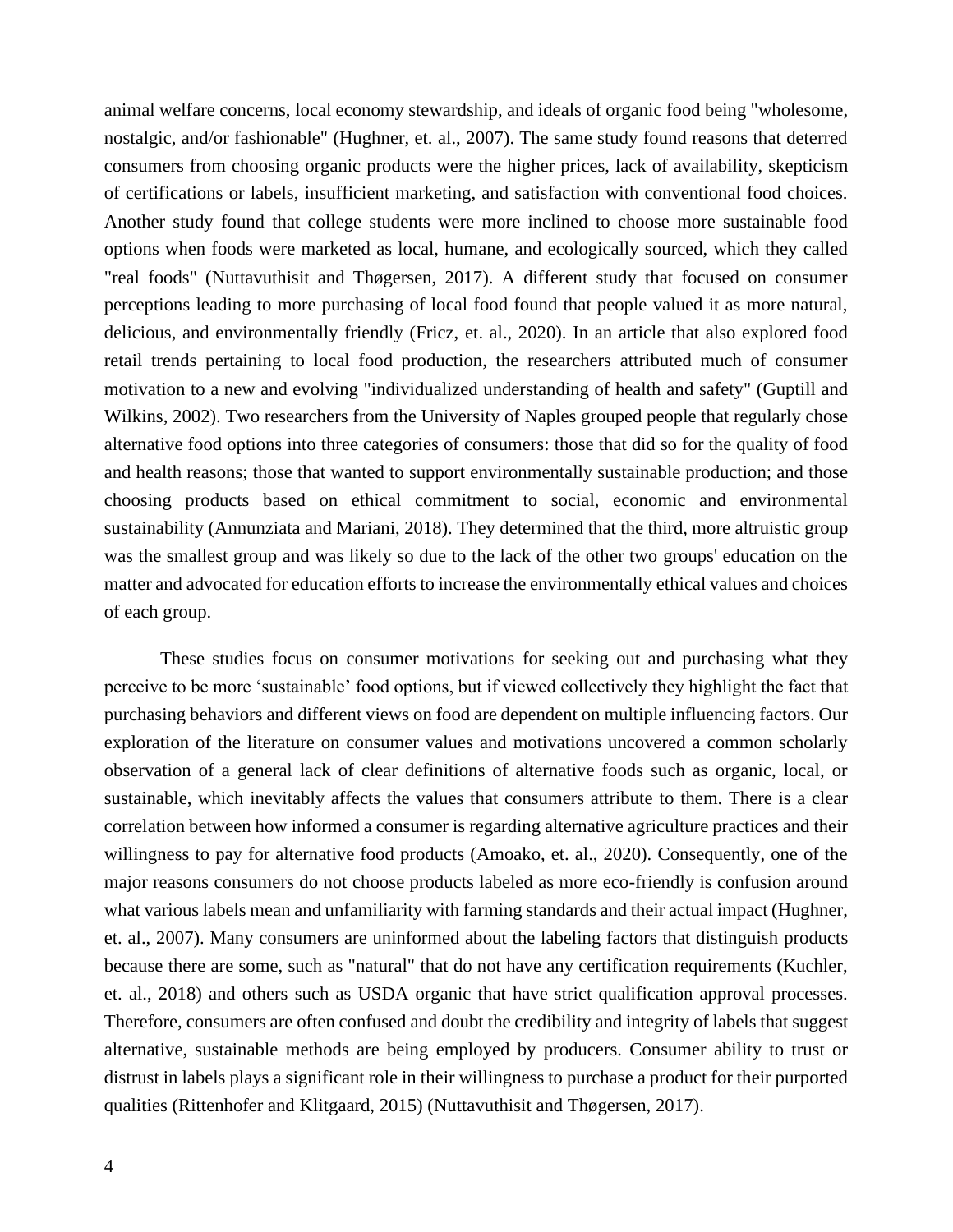animal welfare concerns, local economy stewardship, and ideals of organic food being "wholesome, nostalgic, and/or fashionable" (Hughner, et. al., 2007). The same study found reasons that deterred consumers from choosing organic products were the higher prices, lack of availability, skepticism of certifications or labels, insufficient marketing, and satisfaction with conventional food choices. Another study found that college students were more inclined to choose more sustainable food options when foods were marketed as local, humane, and ecologically sourced, which they called "real foods" (Nuttavuthisit and Thøgersen, 2017). A different study that focused on consumer perceptions leading to more purchasing of local food found that people valued it as more natural, delicious, and environmentally friendly (Fricz, et. al., 2020). In an article that also explored food retail trends pertaining to local food production, the researchers attributed much of consumer motivation to a new and evolving "individualized understanding of health and safety" (Guptill and Wilkins, 2002). Two researchers from the University of Naples grouped people that regularly chose alternative food options into three categories of consumers: those that did so for the quality of food and health reasons; those that wanted to support environmentally sustainable production; and those choosing products based on ethical commitment to social, economic and environmental sustainability (Annunziata and Mariani, 2018). They determined that the third, more altruistic group was the smallest group and was likely so due to the lack of the other two groups' education on the matter and advocated for education efforts to increase the environmentally ethical values and choices of each group.

These studies focus on consumer motivations for seeking out and purchasing what they perceive to be more 'sustainable' food options, but if viewed collectively they highlight the fact that purchasing behaviors and different views on food are dependent on multiple influencing factors. Our exploration of the literature on consumer values and motivations uncovered a common scholarly observation of a general lack of clear definitions of alternative foods such as organic, local, or sustainable, which inevitably affects the values that consumers attribute to them. There is a clear correlation between how informed a consumer is regarding alternative agriculture practices and their willingness to pay for alternative food products (Amoako, et. al., 2020). Consequently, one of the major reasons consumers do not choose products labeled as more eco-friendly is confusion around what various labels mean and unfamiliarity with farming standards and their actual impact (Hughner, et. al., 2007). Many consumers are uninformed about the labeling factors that distinguish products because there are some, such as "natural" that do not have any certification requirements (Kuchler, et. al., 2018) and others such as USDA organic that have strict qualification approval processes. Therefore, consumers are often confused and doubt the credibility and integrity of labels that suggest alternative, sustainable methods are being employed by producers. Consumer ability to trust or distrust in labels plays a significant role in their willingness to purchase a product for their purported qualities (Rittenhofer and Klitgaard, 2015) (Nuttavuthisit and Thøgersen, 2017).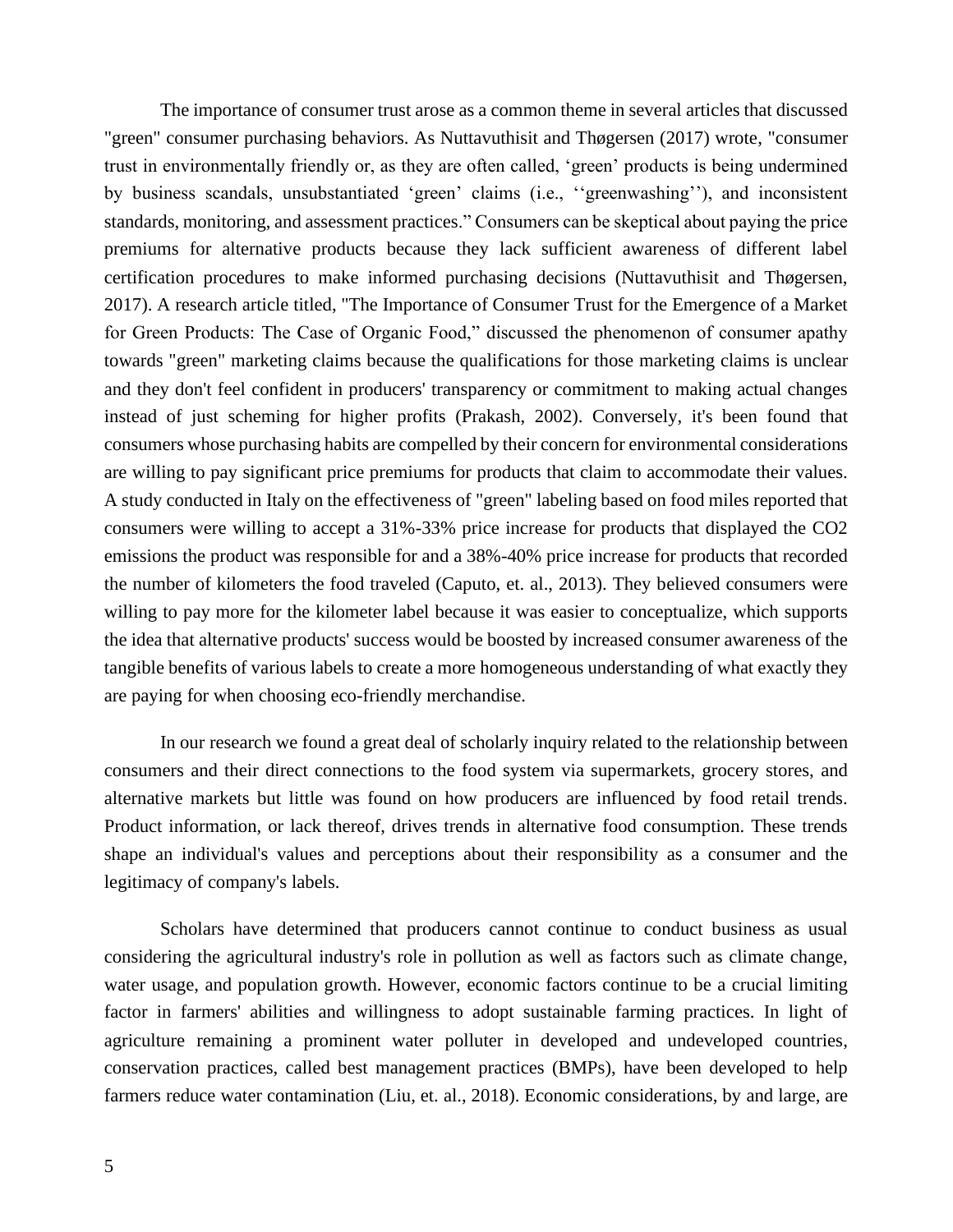The importance of consumer trust arose as a common theme in several articles that discussed "green" consumer purchasing behaviors. As Nuttavuthisit and Thøgersen (2017) wrote, "consumer trust in environmentally friendly or, as they are often called, 'green' products is being undermined by business scandals, unsubstantiated 'green' claims (i.e., ''greenwashing''), and inconsistent standards, monitoring, and assessment practices." Consumers can be skeptical about paying the price premiums for alternative products because they lack sufficient awareness of different label certification procedures to make informed purchasing decisions (Nuttavuthisit and Thøgersen, 2017). A research article titled, "The Importance of Consumer Trust for the Emergence of a Market for Green Products: The Case of Organic Food," discussed the phenomenon of consumer apathy towards "green" marketing claims because the qualifications for those marketing claims is unclear and they don't feel confident in producers' transparency or commitment to making actual changes instead of just scheming for higher profits (Prakash, 2002). Conversely, it's been found that consumers whose purchasing habits are compelled by their concern for environmental considerations are willing to pay significant price premiums for products that claim to accommodate their values. A study conducted in Italy on the effectiveness of "green" labeling based on food miles reported that consumers were willing to accept a 31%-33% price increase for products that displayed the CO2 emissions the product was responsible for and a 38%-40% price increase for products that recorded the number of kilometers the food traveled (Caputo, et. al., 2013). They believed consumers were willing to pay more for the kilometer label because it was easier to conceptualize, which supports the idea that alternative products' success would be boosted by increased consumer awareness of the tangible benefits of various labels to create a more homogeneous understanding of what exactly they are paying for when choosing eco-friendly merchandise.

In our research we found a great deal of scholarly inquiry related to the relationship between consumers and their direct connections to the food system via supermarkets, grocery stores, and alternative markets but little was found on how producers are influenced by food retail trends. Product information, or lack thereof, drives trends in alternative food consumption. These trends shape an individual's values and perceptions about their responsibility as a consumer and the legitimacy of company's labels.

Scholars have determined that producers cannot continue to conduct business as usual considering the agricultural industry's role in pollution as well as factors such as climate change, water usage, and population growth. However, economic factors continue to be a crucial limiting factor in farmers' abilities and willingness to adopt sustainable farming practices. In light of agriculture remaining a prominent water polluter in developed and undeveloped countries, conservation practices, called best management practices (BMPs), have been developed to help farmers reduce water contamination (Liu, et. al., 2018). Economic considerations, by and large, are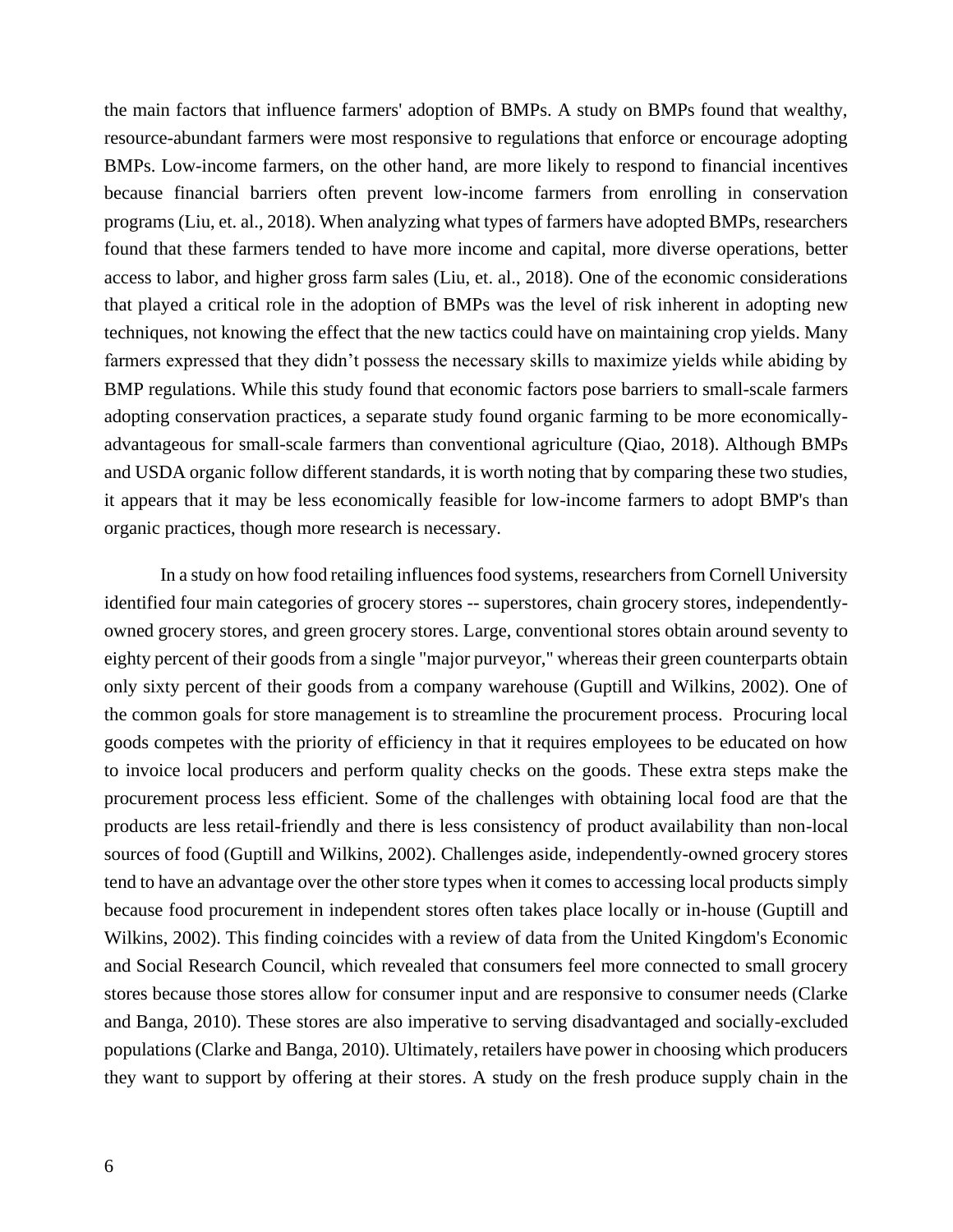the main factors that influence farmers' adoption of BMPs. A study on BMPs found that wealthy, resource-abundant farmers were most responsive to regulations that enforce or encourage adopting BMPs. Low-income farmers, on the other hand, are more likely to respond to financial incentives because financial barriers often prevent low-income farmers from enrolling in conservation programs (Liu, et. al., 2018). When analyzing what types of farmers have adopted BMPs, researchers found that these farmers tended to have more income and capital, more diverse operations, better access to labor, and higher gross farm sales (Liu, et. al., 2018). One of the economic considerations that played a critical role in the adoption of BMPs was the level of risk inherent in adopting new techniques, not knowing the effect that the new tactics could have on maintaining crop yields. Many farmers expressed that they didn't possess the necessary skills to maximize yields while abiding by BMP regulations. While this study found that economic factors pose barriers to small-scale farmers adopting conservation practices, a separate study found organic farming to be more economicallyadvantageous for small-scale farmers than conventional agriculture (Qiao, 2018). Although BMPs and USDA organic follow different standards, it is worth noting that by comparing these two studies, it appears that it may be less economically feasible for low-income farmers to adopt BMP's than organic practices, though more research is necessary.

In a study on how food retailing influences food systems, researchers from Cornell University identified four main categories of grocery stores -- superstores, chain grocery stores, independentlyowned grocery stores, and green grocery stores. Large, conventional stores obtain around seventy to eighty percent of their goods from a single "major purveyor," whereas their green counterparts obtain only sixty percent of their goods from a company warehouse (Guptill and Wilkins, 2002). One of the common goals for store management is to streamline the procurement process. Procuring local goods competes with the priority of efficiency in that it requires employees to be educated on how to invoice local producers and perform quality checks on the goods. These extra steps make the procurement process less efficient. Some of the challenges with obtaining local food are that the products are less retail-friendly and there is less consistency of product availability than non-local sources of food (Guptill and Wilkins, 2002). Challenges aside, independently-owned grocery stores tend to have an advantage over the other store types when it comes to accessing local products simply because food procurement in independent stores often takes place locally or in-house (Guptill and Wilkins, 2002). This finding coincides with a review of data from the United Kingdom's Economic and Social Research Council, which revealed that consumers feel more connected to small grocery stores because those stores allow for consumer input and are responsive to consumer needs (Clarke and Banga, 2010). These stores are also imperative to serving disadvantaged and socially-excluded populations (Clarke and Banga, 2010). Ultimately, retailers have power in choosing which producers they want to support by offering at their stores. A study on the fresh produce supply chain in the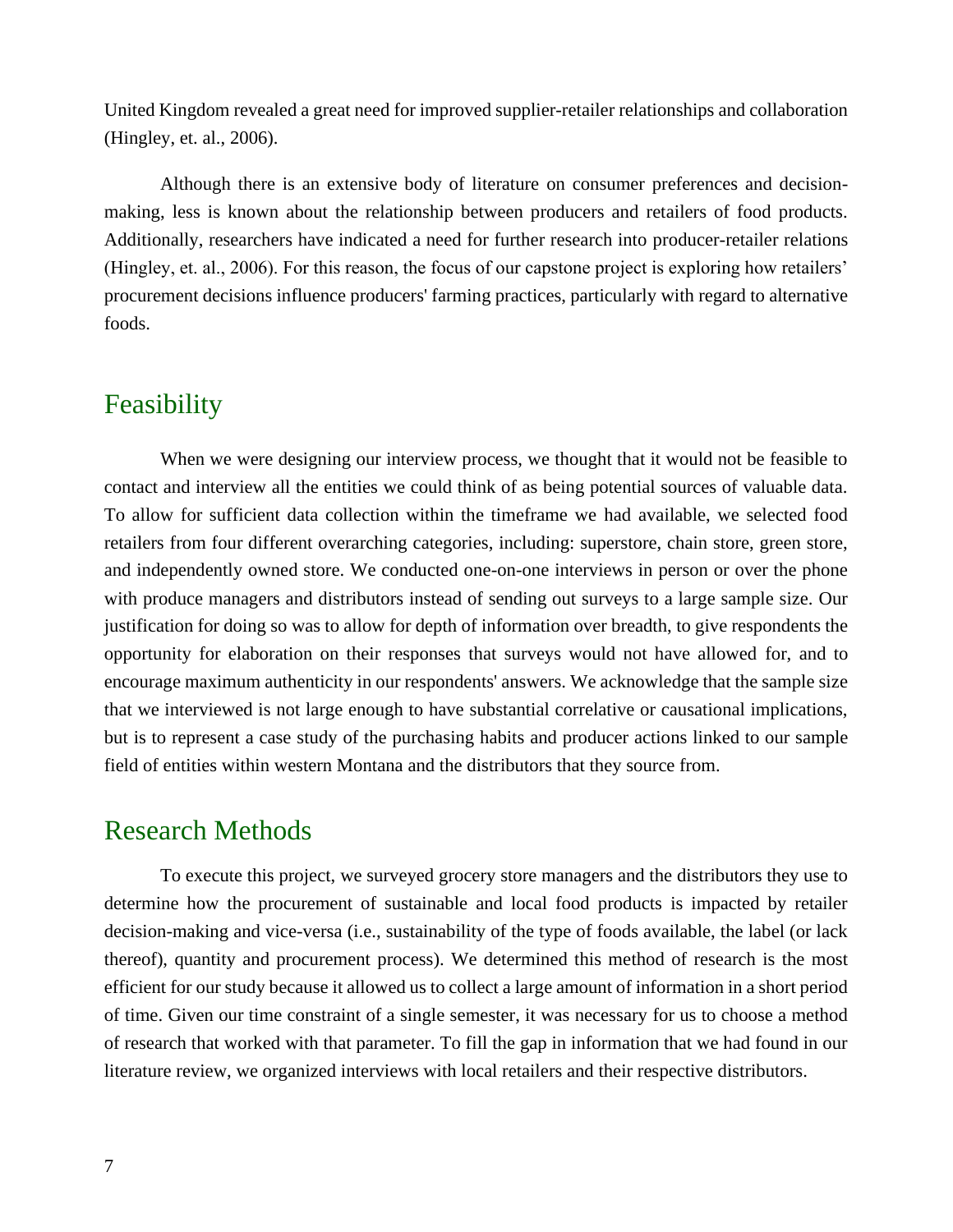United Kingdom revealed a great need for improved supplier-retailer relationships and collaboration (Hingley, et. al., 2006).

Although there is an extensive body of literature on consumer preferences and decisionmaking, less is known about the relationship between producers and retailers of food products. Additionally, researchers have indicated a need for further research into producer-retailer relations (Hingley, et. al., 2006). For this reason, the focus of our capstone project is exploring how retailers' procurement decisions influence producers' farming practices, particularly with regard to alternative foods.

#### Feasibility

When we were designing our interview process, we thought that it would not be feasible to contact and interview all the entities we could think of as being potential sources of valuable data. To allow for sufficient data collection within the timeframe we had available, we selected food retailers from four different overarching categories, including: superstore, chain store, green store, and independently owned store. We conducted one-on-one interviews in person or over the phone with produce managers and distributors instead of sending out surveys to a large sample size. Our justification for doing so was to allow for depth of information over breadth, to give respondents the opportunity for elaboration on their responses that surveys would not have allowed for, and to encourage maximum authenticity in our respondents' answers. We acknowledge that the sample size that we interviewed is not large enough to have substantial correlative or causational implications, but is to represent a case study of the purchasing habits and producer actions linked to our sample field of entities within western Montana and the distributors that they source from.

### Research Methods

To execute this project, we surveyed grocery store managers and the distributors they use to determine how the procurement of sustainable and local food products is impacted by retailer decision-making and vice-versa (i.e., sustainability of the type of foods available, the label (or lack thereof), quantity and procurement process). We determined this method of research is the most efficient for our study because it allowed us to collect a large amount of information in a short period of time. Given our time constraint of a single semester, it was necessary for us to choose a method of research that worked with that parameter. To fill the gap in information that we had found in our literature review, we organized interviews with local retailers and their respective distributors.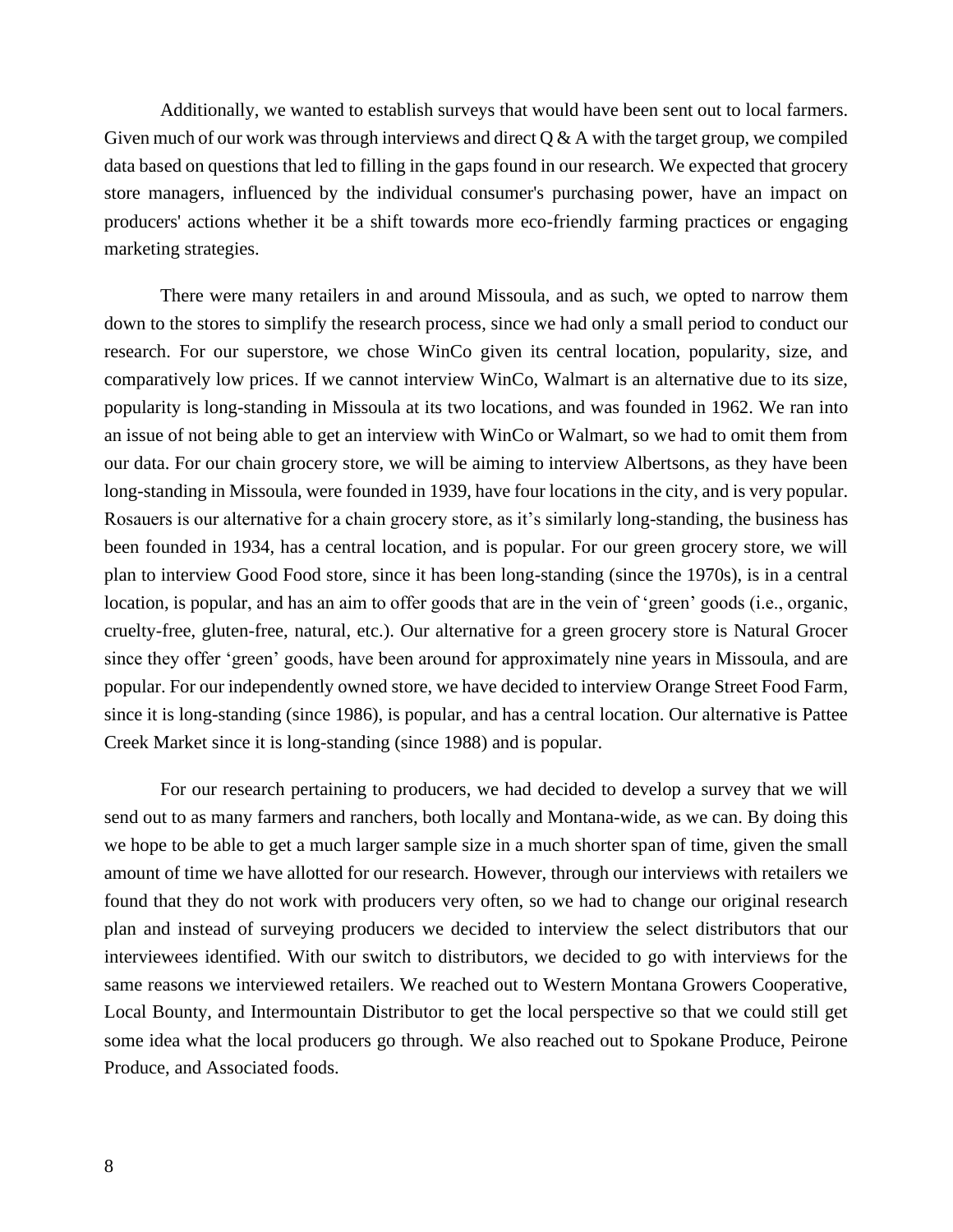Additionally, we wanted to establish surveys that would have been sent out to local farmers. Given much of our work was through interviews and direct  $Q & A$  with the target group, we compiled data based on questions that led to filling in the gaps found in our research. We expected that grocery store managers, influenced by the individual consumer's purchasing power, have an impact on producers' actions whether it be a shift towards more eco-friendly farming practices or engaging marketing strategies.

There were many retailers in and around Missoula, and as such, we opted to narrow them down to the stores to simplify the research process, since we had only a small period to conduct our research. For our superstore, we chose WinCo given its central location, popularity, size, and comparatively low prices. If we cannot interview WinCo, Walmart is an alternative due to its size, popularity is long-standing in Missoula at its two locations, and was founded in 1962. We ran into an issue of not being able to get an interview with WinCo or Walmart, so we had to omit them from our data. For our chain grocery store, we will be aiming to interview Albertsons, as they have been long-standing in Missoula, were founded in 1939, have four locations in the city, and is very popular. Rosauers is our alternative for a chain grocery store, as it's similarly long-standing, the business has been founded in 1934, has a central location, and is popular. For our green grocery store, we will plan to interview Good Food store, since it has been long-standing (since the 1970s), is in a central location, is popular, and has an aim to offer goods that are in the vein of 'green' goods (i.e., organic, cruelty-free, gluten-free, natural, etc.). Our alternative for a green grocery store is Natural Grocer since they offer 'green' goods, have been around for approximately nine years in Missoula, and are popular. For our independently owned store, we have decided to interview Orange Street Food Farm, since it is long-standing (since 1986), is popular, and has a central location. Our alternative is Pattee Creek Market since it is long-standing (since 1988) and is popular.

For our research pertaining to producers, we had decided to develop a survey that we will send out to as many farmers and ranchers, both locally and Montana-wide, as we can. By doing this we hope to be able to get a much larger sample size in a much shorter span of time, given the small amount of time we have allotted for our research. However, through our interviews with retailers we found that they do not work with producers very often, so we had to change our original research plan and instead of surveying producers we decided to interview the select distributors that our interviewees identified. With our switch to distributors, we decided to go with interviews for the same reasons we interviewed retailers. We reached out to Western Montana Growers Cooperative, Local Bounty, and Intermountain Distributor to get the local perspective so that we could still get some idea what the local producers go through. We also reached out to Spokane Produce, Peirone Produce, and Associated foods.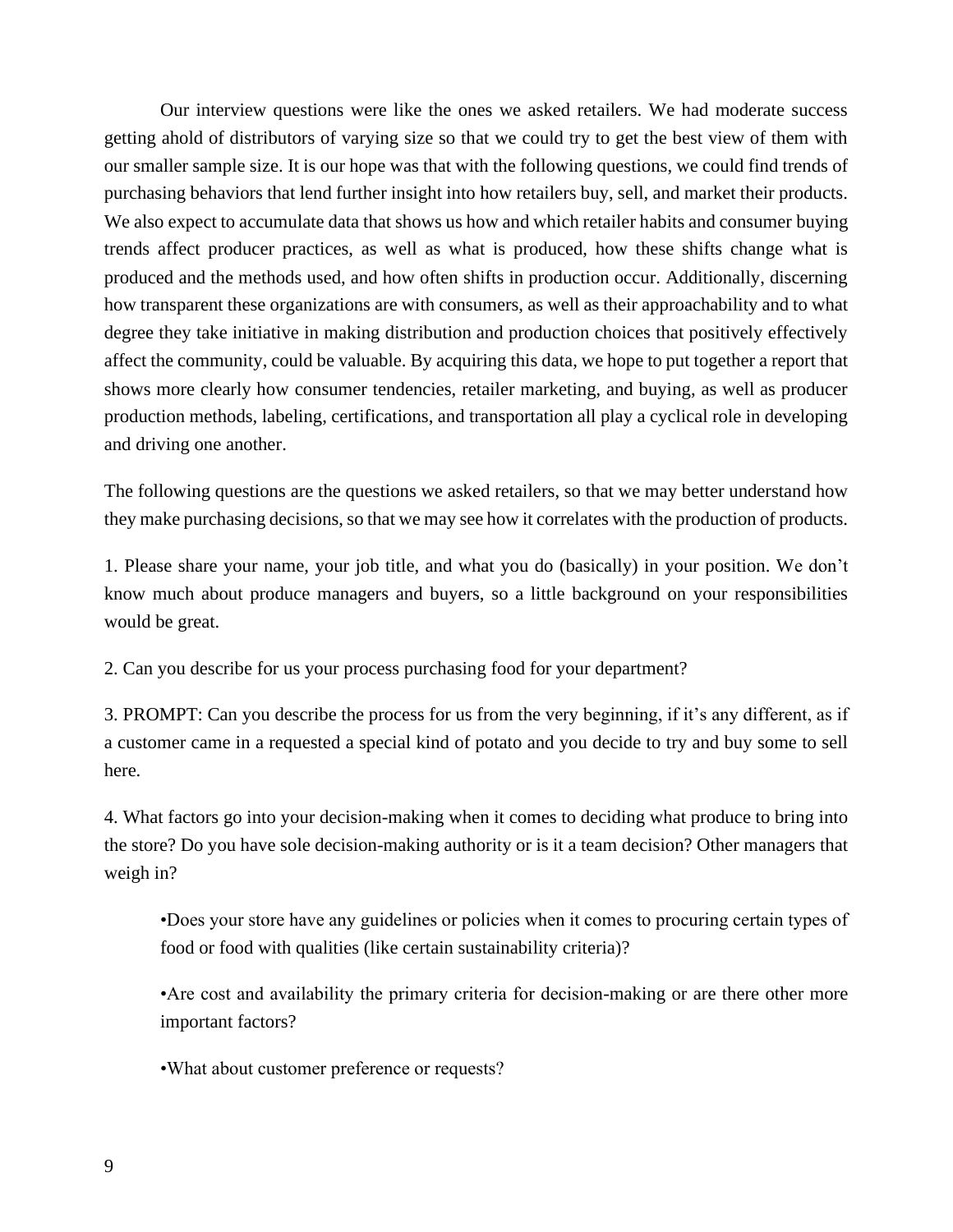Our interview questions were like the ones we asked retailers. We had moderate success getting ahold of distributors of varying size so that we could try to get the best view of them with our smaller sample size. It is our hope was that with the following questions, we could find trends of purchasing behaviors that lend further insight into how retailers buy, sell, and market their products. We also expect to accumulate data that shows us how and which retailer habits and consumer buying trends affect producer practices, as well as what is produced, how these shifts change what is produced and the methods used, and how often shifts in production occur. Additionally, discerning how transparent these organizations are with consumers, as well as their approachability and to what degree they take initiative in making distribution and production choices that positively effectively affect the community, could be valuable. By acquiring this data, we hope to put together a report that shows more clearly how consumer tendencies, retailer marketing, and buying, as well as producer production methods, labeling, certifications, and transportation all play a cyclical role in developing and driving one another.

The following questions are the questions we asked retailers, so that we may better understand how they make purchasing decisions, so that we may see how it correlates with the production of products.

1. Please share your name, your job title, and what you do (basically) in your position. We don't know much about produce managers and buyers, so a little background on your responsibilities would be great.

2. Can you describe for us your process purchasing food for your department?

3. PROMPT: Can you describe the process for us from the very beginning, if it's any different, as if a customer came in a requested a special kind of potato and you decide to try and buy some to sell here.

4. What factors go into your decision-making when it comes to deciding what produce to bring into the store? Do you have sole decision-making authority or is it a team decision? Other managers that weigh in?

•Does your store have any guidelines or policies when it comes to procuring certain types of food or food with qualities (like certain sustainability criteria)?

•Are cost and availability the primary criteria for decision-making or are there other more important factors?

•What about customer preference or requests?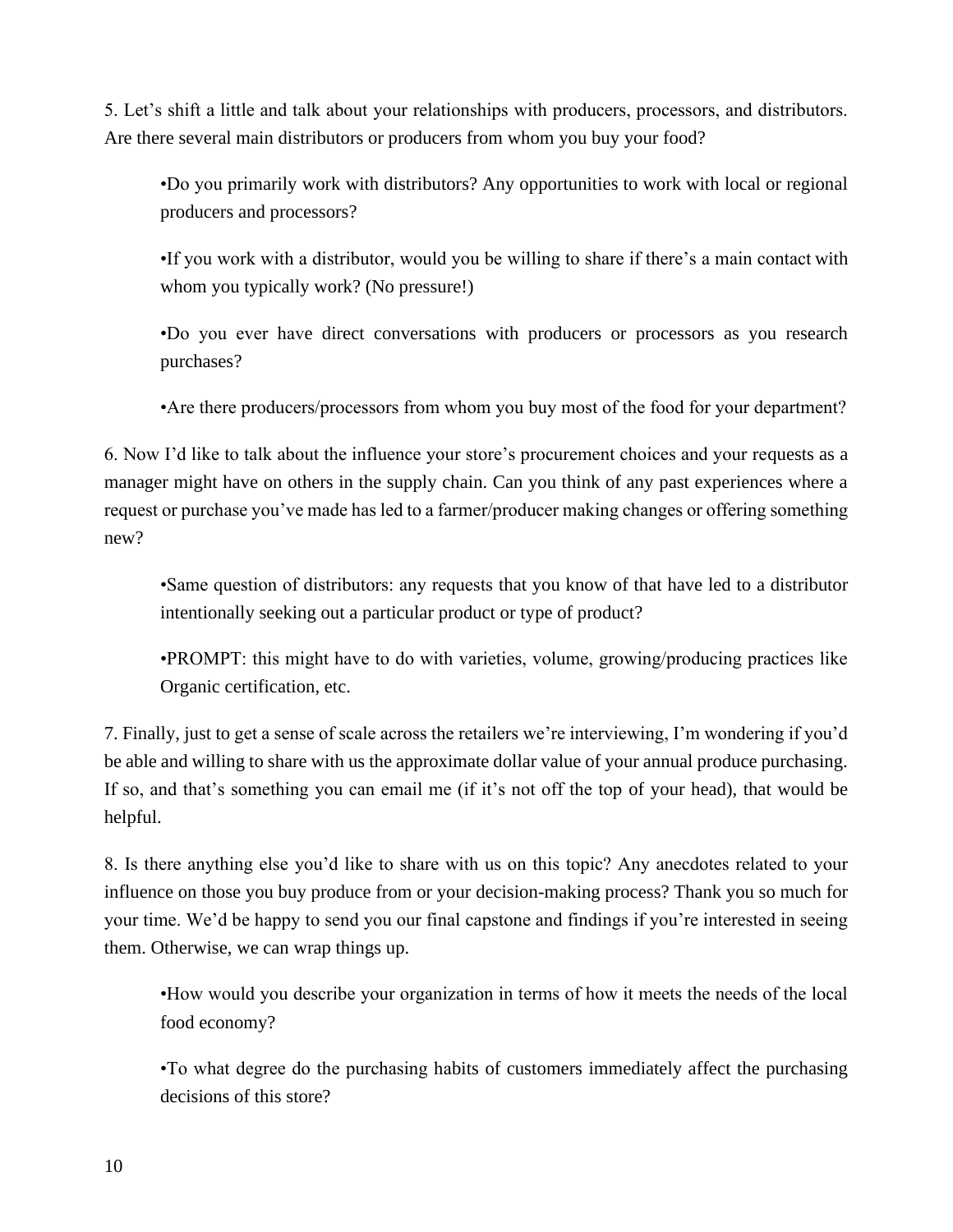5. Let's shift a little and talk about your relationships with producers, processors, and distributors. Are there several main distributors or producers from whom you buy your food?

•Do you primarily work with distributors? Any opportunities to work with local or regional producers and processors?

•If you work with a distributor, would you be willing to share if there's a main contact with whom you typically work? (No pressure!)

•Do you ever have direct conversations with producers or processors as you research purchases?

•Are there producers/processors from whom you buy most of the food for your department?

6. Now I'd like to talk about the influence your store's procurement choices and your requests as a manager might have on others in the supply chain. Can you think of any past experiences where a request or purchase you've made has led to a farmer/producer making changes or offering something new?

•Same question of distributors: any requests that you know of that have led to a distributor intentionally seeking out a particular product or type of product?

•PROMPT: this might have to do with varieties, volume, growing/producing practices like Organic certification, etc.

7. Finally, just to get a sense of scale across the retailers we're interviewing, I'm wondering if you'd be able and willing to share with us the approximate dollar value of your annual produce purchasing. If so, and that's something you can email me (if it's not off the top of your head), that would be helpful.

8. Is there anything else you'd like to share with us on this topic? Any anecdotes related to your influence on those you buy produce from or your decision-making process? Thank you so much for your time. We'd be happy to send you our final capstone and findings if you're interested in seeing them. Otherwise, we can wrap things up.

•How would you describe your organization in terms of how it meets the needs of the local food economy?

•To what degree do the purchasing habits of customers immediately affect the purchasing decisions of this store?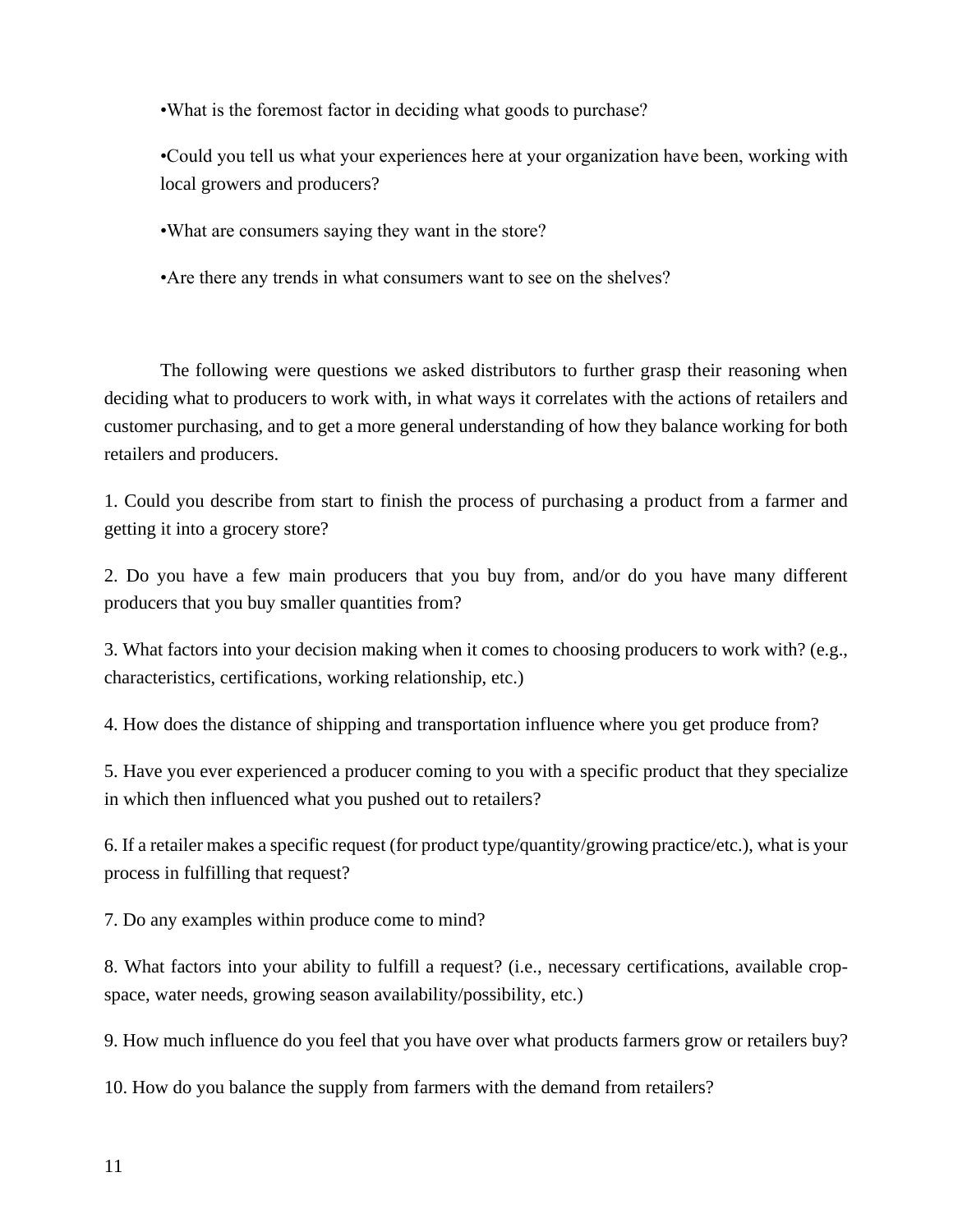•What is the foremost factor in deciding what goods to purchase?

•Could you tell us what your experiences here at your organization have been, working with local growers and producers?

•What are consumers saying they want in the store?

•Are there any trends in what consumers want to see on the shelves?

The following were questions we asked distributors to further grasp their reasoning when deciding what to producers to work with, in what ways it correlates with the actions of retailers and customer purchasing, and to get a more general understanding of how they balance working for both retailers and producers.

1. Could you describe from start to finish the process of purchasing a product from a farmer and getting it into a grocery store?

2. Do you have a few main producers that you buy from, and/or do you have many different producers that you buy smaller quantities from?

3. What factors into your decision making when it comes to choosing producers to work with? (e.g., characteristics, certifications, working relationship, etc.)

4. How does the distance of shipping and transportation influence where you get produce from?

5. Have you ever experienced a producer coming to you with a specific product that they specialize in which then influenced what you pushed out to retailers?

6. If a retailer makes a specific request (for product type/quantity/growing practice/etc.), what is your process in fulfilling that request?

7. Do any examples within produce come to mind?

8. What factors into your ability to fulfill a request? (i.e., necessary certifications, available cropspace, water needs, growing season availability/possibility, etc.)

9. How much influence do you feel that you have over what products farmers grow or retailers buy?

10. How do you balance the supply from farmers with the demand from retailers?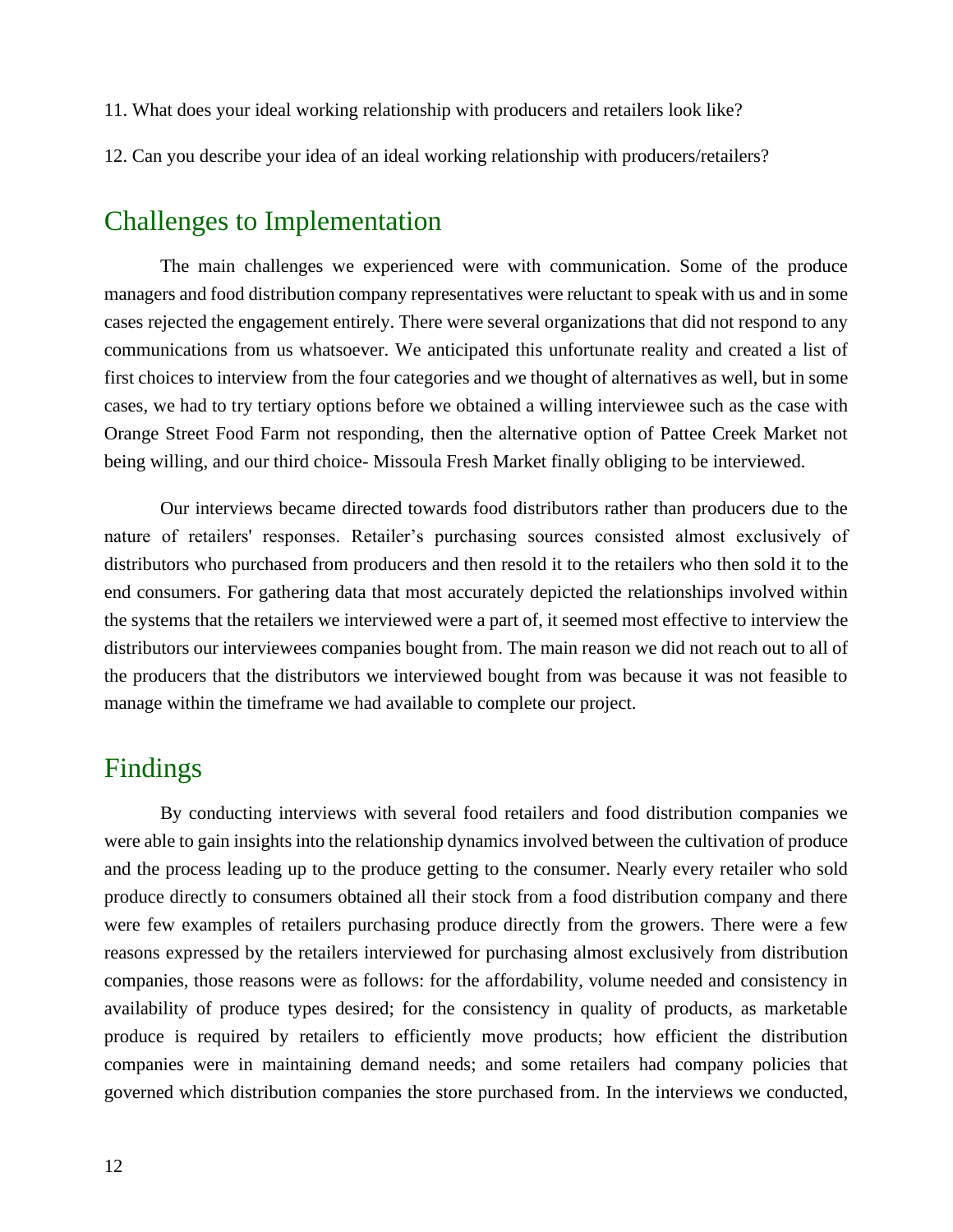11. What does your ideal working relationship with producers and retailers look like?

12. Can you describe your idea of an ideal working relationship with producers/retailers?

#### Challenges to Implementation

The main challenges we experienced were with communication. Some of the produce managers and food distribution company representatives were reluctant to speak with us and in some cases rejected the engagement entirely. There were several organizations that did not respond to any communications from us whatsoever. We anticipated this unfortunate reality and created a list of first choices to interview from the four categories and we thought of alternatives as well, but in some cases, we had to try tertiary options before we obtained a willing interviewee such as the case with Orange Street Food Farm not responding, then the alternative option of Pattee Creek Market not being willing, and our third choice- Missoula Fresh Market finally obliging to be interviewed.

Our interviews became directed towards food distributors rather than producers due to the nature of retailers' responses. Retailer's purchasing sources consisted almost exclusively of distributors who purchased from producers and then resold it to the retailers who then sold it to the end consumers. For gathering data that most accurately depicted the relationships involved within the systems that the retailers we interviewed were a part of, it seemed most effective to interview the distributors our interviewees companies bought from. The main reason we did not reach out to all of the producers that the distributors we interviewed bought from was because it was not feasible to manage within the timeframe we had available to complete our project.

## Findings

By conducting interviews with several food retailers and food distribution companies we were able to gain insights into the relationship dynamics involved between the cultivation of produce and the process leading up to the produce getting to the consumer. Nearly every retailer who sold produce directly to consumers obtained all their stock from a food distribution company and there were few examples of retailers purchasing produce directly from the growers. There were a few reasons expressed by the retailers interviewed for purchasing almost exclusively from distribution companies, those reasons were as follows: for the affordability, volume needed and consistency in availability of produce types desired; for the consistency in quality of products, as marketable produce is required by retailers to efficiently move products; how efficient the distribution companies were in maintaining demand needs; and some retailers had company policies that governed which distribution companies the store purchased from. In the interviews we conducted,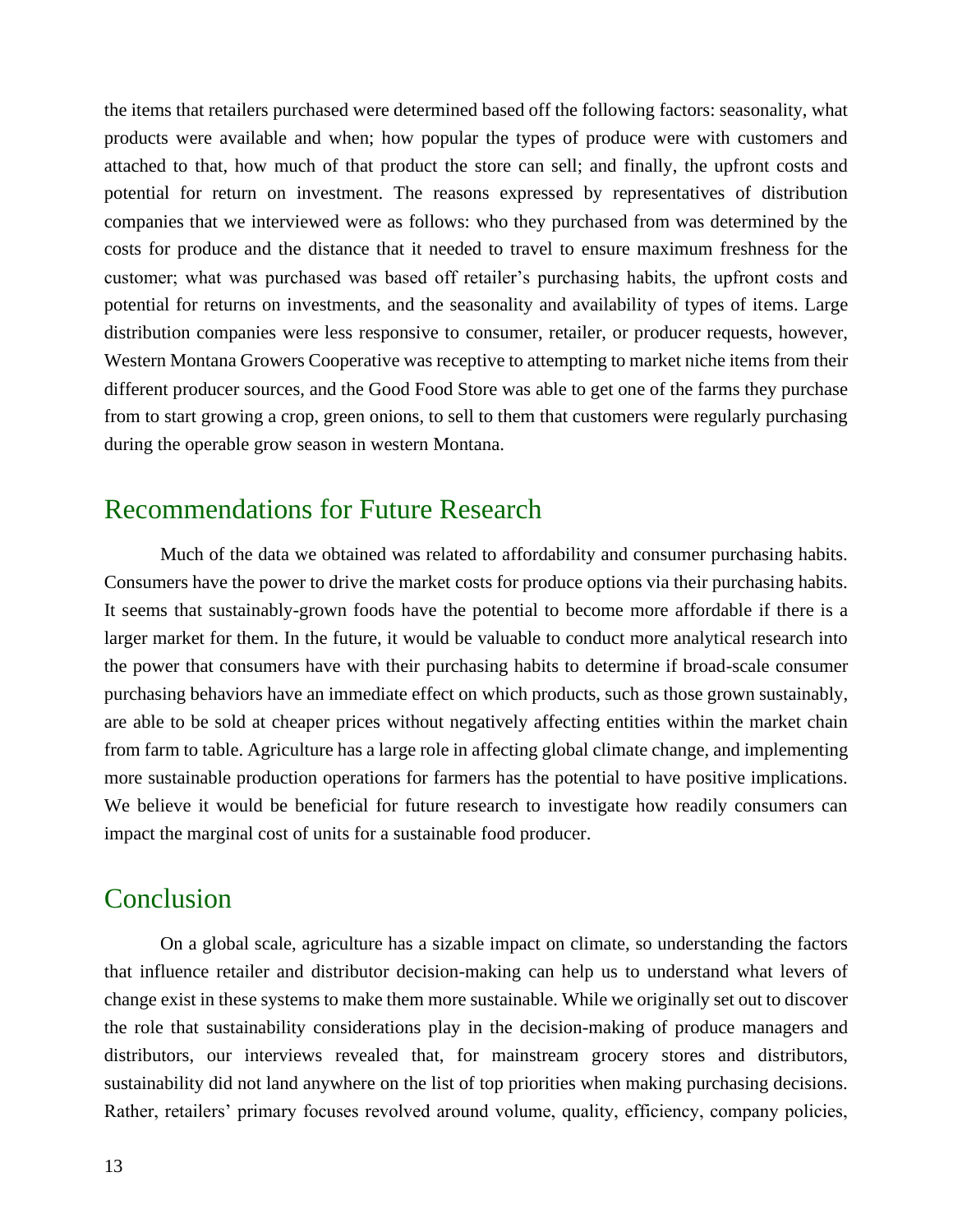the items that retailers purchased were determined based off the following factors: seasonality, what products were available and when; how popular the types of produce were with customers and attached to that, how much of that product the store can sell; and finally, the upfront costs and potential for return on investment. The reasons expressed by representatives of distribution companies that we interviewed were as follows: who they purchased from was determined by the costs for produce and the distance that it needed to travel to ensure maximum freshness for the customer; what was purchased was based off retailer's purchasing habits, the upfront costs and potential for returns on investments, and the seasonality and availability of types of items. Large distribution companies were less responsive to consumer, retailer, or producer requests, however, Western Montana Growers Cooperative was receptive to attempting to market niche items from their different producer sources, and the Good Food Store was able to get one of the farms they purchase from to start growing a crop, green onions, to sell to them that customers were regularly purchasing during the operable grow season in western Montana.

## Recommendations for Future Research

Much of the data we obtained was related to affordability and consumer purchasing habits. Consumers have the power to drive the market costs for produce options via their purchasing habits. It seems that sustainably-grown foods have the potential to become more affordable if there is a larger market for them. In the future, it would be valuable to conduct more analytical research into the power that consumers have with their purchasing habits to determine if broad-scale consumer purchasing behaviors have an immediate effect on which products, such as those grown sustainably, are able to be sold at cheaper prices without negatively affecting entities within the market chain from farm to table. Agriculture has a large role in affecting global climate change, and implementing more sustainable production operations for farmers has the potential to have positive implications. We believe it would be beneficial for future research to investigate how readily consumers can impact the marginal cost of units for a sustainable food producer.

### Conclusion

On a global scale, agriculture has a sizable impact on climate, so understanding the factors that influence retailer and distributor decision-making can help us to understand what levers of change exist in these systems to make them more sustainable. While we originally set out to discover the role that sustainability considerations play in the decision-making of produce managers and distributors, our interviews revealed that, for mainstream grocery stores and distributors, sustainability did not land anywhere on the list of top priorities when making purchasing decisions. Rather, retailers' primary focuses revolved around volume, quality, efficiency, company policies,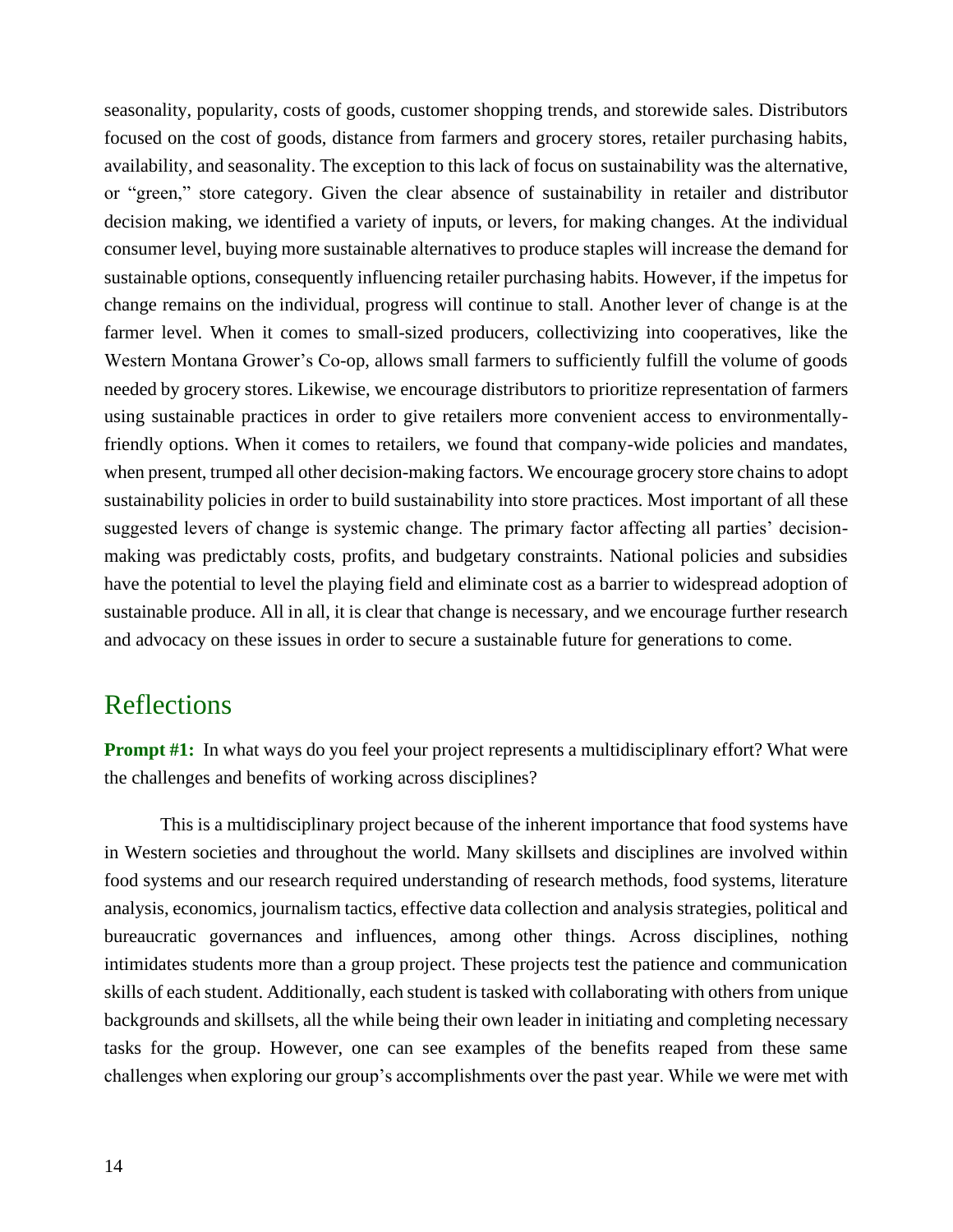seasonality, popularity, costs of goods, customer shopping trends, and storewide sales. Distributors focused on the cost of goods, distance from farmers and grocery stores, retailer purchasing habits, availability, and seasonality. The exception to this lack of focus on sustainability was the alternative, or "green," store category. Given the clear absence of sustainability in retailer and distributor decision making, we identified a variety of inputs, or levers, for making changes. At the individual consumer level, buying more sustainable alternatives to produce staples will increase the demand for sustainable options, consequently influencing retailer purchasing habits. However, if the impetus for change remains on the individual, progress will continue to stall. Another lever of change is at the farmer level. When it comes to small-sized producers, collectivizing into cooperatives, like the Western Montana Grower's Co-op, allows small farmers to sufficiently fulfill the volume of goods needed by grocery stores. Likewise, we encourage distributors to prioritize representation of farmers using sustainable practices in order to give retailers more convenient access to environmentallyfriendly options. When it comes to retailers, we found that company-wide policies and mandates, when present, trumped all other decision-making factors. We encourage grocery store chains to adopt sustainability policies in order to build sustainability into store practices. Most important of all these suggested levers of change is systemic change. The primary factor affecting all parties' decisionmaking was predictably costs, profits, and budgetary constraints. National policies and subsidies have the potential to level the playing field and eliminate cost as a barrier to widespread adoption of sustainable produce. All in all, it is clear that change is necessary, and we encourage further research and advocacy on these issues in order to secure a sustainable future for generations to come.

### Reflections

**Prompt #1:** In what ways do you feel your project represents a multidisciplinary effort? What were the challenges and benefits of working across disciplines?

This is a multidisciplinary project because of the inherent importance that food systems have in Western societies and throughout the world. Many skillsets and disciplines are involved within food systems and our research required understanding of research methods, food systems, literature analysis, economics, journalism tactics, effective data collection and analysis strategies, political and bureaucratic governances and influences, among other things. Across disciplines, nothing intimidates students more than a group project. These projects test the patience and communication skills of each student. Additionally, each student is tasked with collaborating with others from unique backgrounds and skillsets, all the while being their own leader in initiating and completing necessary tasks for the group. However, one can see examples of the benefits reaped from these same challenges when exploring our group's accomplishments over the past year. While we were met with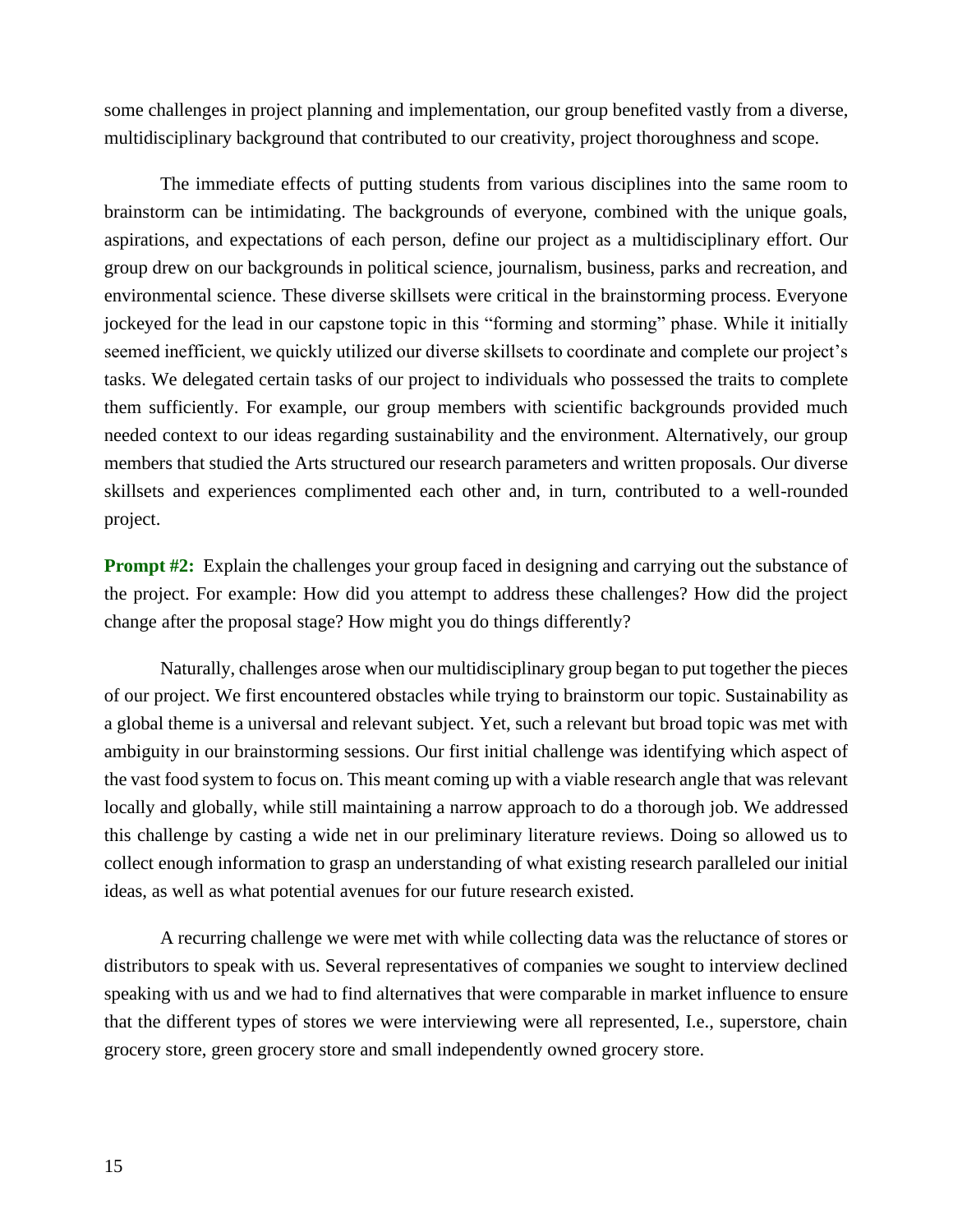some challenges in project planning and implementation, our group benefited vastly from a diverse, multidisciplinary background that contributed to our creativity, project thoroughness and scope.

The immediate effects of putting students from various disciplines into the same room to brainstorm can be intimidating. The backgrounds of everyone, combined with the unique goals, aspirations, and expectations of each person, define our project as a multidisciplinary effort. Our group drew on our backgrounds in political science, journalism, business, parks and recreation, and environmental science. These diverse skillsets were critical in the brainstorming process. Everyone jockeyed for the lead in our capstone topic in this "forming and storming" phase. While it initially seemed inefficient, we quickly utilized our diverse skillsets to coordinate and complete our project's tasks. We delegated certain tasks of our project to individuals who possessed the traits to complete them sufficiently. For example, our group members with scientific backgrounds provided much needed context to our ideas regarding sustainability and the environment. Alternatively, our group members that studied the Arts structured our research parameters and written proposals. Our diverse skillsets and experiences complimented each other and, in turn, contributed to a well-rounded project.

**Prompt #2:** Explain the challenges your group faced in designing and carrying out the substance of the project. For example: How did you attempt to address these challenges? How did the project change after the proposal stage? How might you do things differently?

Naturally, challenges arose when our multidisciplinary group began to put together the pieces of our project. We first encountered obstacles while trying to brainstorm our topic. Sustainability as a global theme is a universal and relevant subject. Yet, such a relevant but broad topic was met with ambiguity in our brainstorming sessions. Our first initial challenge was identifying which aspect of the vast food system to focus on. This meant coming up with a viable research angle that was relevant locally and globally, while still maintaining a narrow approach to do a thorough job. We addressed this challenge by casting a wide net in our preliminary literature reviews. Doing so allowed us to collect enough information to grasp an understanding of what existing research paralleled our initial ideas, as well as what potential avenues for our future research existed.

A recurring challenge we were met with while collecting data was the reluctance of stores or distributors to speak with us. Several representatives of companies we sought to interview declined speaking with us and we had to find alternatives that were comparable in market influence to ensure that the different types of stores we were interviewing were all represented, I.e., superstore, chain grocery store, green grocery store and small independently owned grocery store.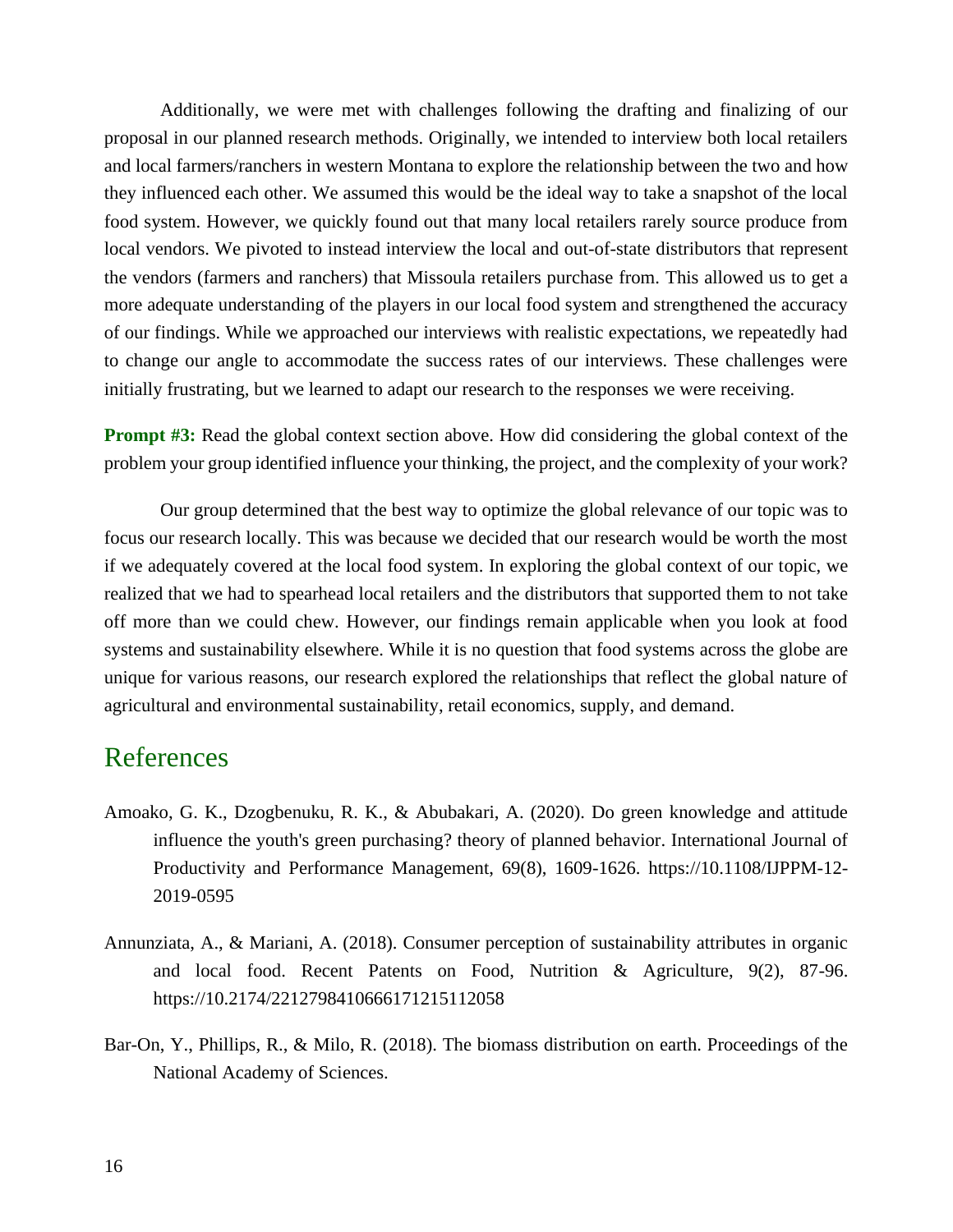Additionally, we were met with challenges following the drafting and finalizing of our proposal in our planned research methods. Originally, we intended to interview both local retailers and local farmers/ranchers in western Montana to explore the relationship between the two and how they influenced each other. We assumed this would be the ideal way to take a snapshot of the local food system. However, we quickly found out that many local retailers rarely source produce from local vendors. We pivoted to instead interview the local and out-of-state distributors that represent the vendors (farmers and ranchers) that Missoula retailers purchase from. This allowed us to get a more adequate understanding of the players in our local food system and strengthened the accuracy of our findings. While we approached our interviews with realistic expectations, we repeatedly had to change our angle to accommodate the success rates of our interviews. These challenges were initially frustrating, but we learned to adapt our research to the responses we were receiving.

**Prompt #3:** Read the global context section above. How did considering the global context of the problem your group identified influence your thinking, the project, and the complexity of your work?

Our group determined that the best way to optimize the global relevance of our topic was to focus our research locally. This was because we decided that our research would be worth the most if we adequately covered at the local food system. In exploring the global context of our topic, we realized that we had to spearhead local retailers and the distributors that supported them to not take off more than we could chew. However, our findings remain applicable when you look at food systems and sustainability elsewhere. While it is no question that food systems across the globe are unique for various reasons, our research explored the relationships that reflect the global nature of agricultural and environmental sustainability, retail economics, supply, and demand.

### References

- Amoako, G. K., Dzogbenuku, R. K., & Abubakari, A. (2020). Do green knowledge and attitude influence the youth's green purchasing? theory of planned behavior. International Journal of Productivity and Performance Management, 69(8), 1609-1626. https://10.1108/IJPPM-12- 2019-0595
- Annunziata, A., & Mariani, A. (2018). Consumer perception of sustainability attributes in organic and local food. Recent Patents on Food, Nutrition & Agriculture, 9(2), 87-96. https://10.2174/2212798410666171215112058
- Bar-On, Y., Phillips, R., & Milo, R. (2018). The biomass distribution on earth. Proceedings of the National Academy of Sciences.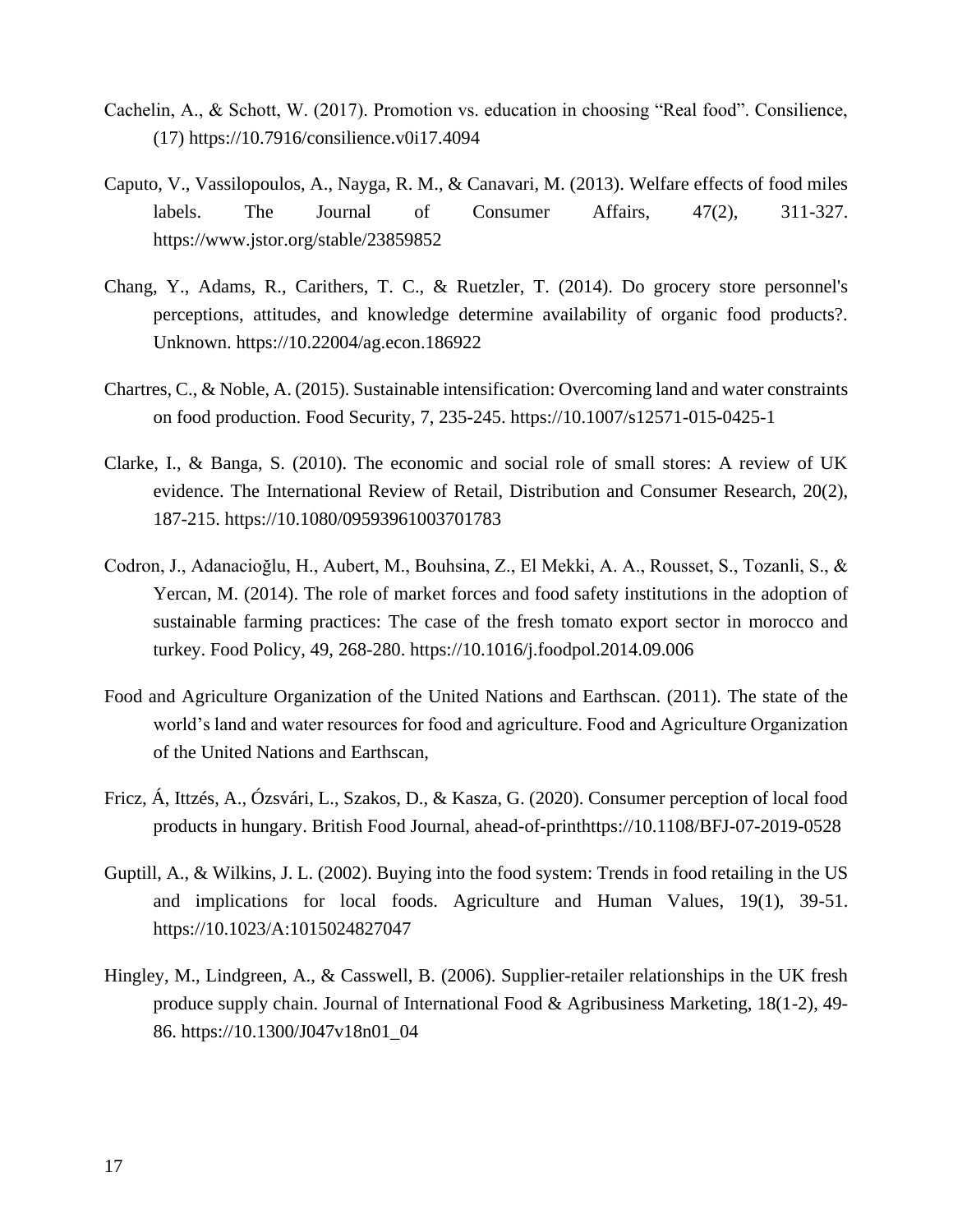- Cachelin, A., & Schott, W. (2017). Promotion vs. education in choosing "Real food". Consilience, (17) https://10.7916/consilience.v0i17.4094
- Caputo, V., Vassilopoulos, A., Nayga, R. M., & Canavari, M. (2013). Welfare effects of food miles labels. The Journal of Consumer Affairs, 47(2), 311-327. https://www.jstor.org/stable/23859852
- Chang, Y., Adams, R., Carithers, T. C., & Ruetzler, T. (2014). Do grocery store personnel's perceptions, attitudes, and knowledge determine availability of organic food products?. Unknown. https://10.22004/ag.econ.186922
- Chartres, C., & Noble, A. (2015). Sustainable intensification: Overcoming land and water constraints on food production. Food Security, 7, 235-245. https://10.1007/s12571-015-0425-1
- Clarke, I., & Banga, S. (2010). The economic and social role of small stores: A review of UK evidence. The International Review of Retail, Distribution and Consumer Research, 20(2), 187-215. https://10.1080/09593961003701783
- Codron, J., Adanacioğlu, H., Aubert, M., Bouhsina, Z., El Mekki, A. A., Rousset, S., Tozanli, S., & Yercan, M. (2014). The role of market forces and food safety institutions in the adoption of sustainable farming practices: The case of the fresh tomato export sector in morocco and turkey. Food Policy, 49, 268-280. https://10.1016/j.foodpol.2014.09.006
- Food and Agriculture Organization of the United Nations and Earthscan. (2011). The state of the world's land and water resources for food and agriculture. Food and Agriculture Organization of the United Nations and Earthscan,
- Fricz, Á, Ittzés, A., Ózsvári, L., Szakos, D., & Kasza, G. (2020). Consumer perception of local food products in hungary. British Food Journal, ahead-of-printhttps://10.1108/BFJ-07-2019-0528
- Guptill, A., & Wilkins, J. L. (2002). Buying into the food system: Trends in food retailing in the US and implications for local foods. Agriculture and Human Values, 19(1), 39-51. https://10.1023/A:1015024827047
- Hingley, M., Lindgreen, A., & Casswell, B. (2006). Supplier-retailer relationships in the UK fresh produce supply chain. Journal of International Food & Agribusiness Marketing, 18(1-2), 49- 86. https://10.1300/J047v18n01\_04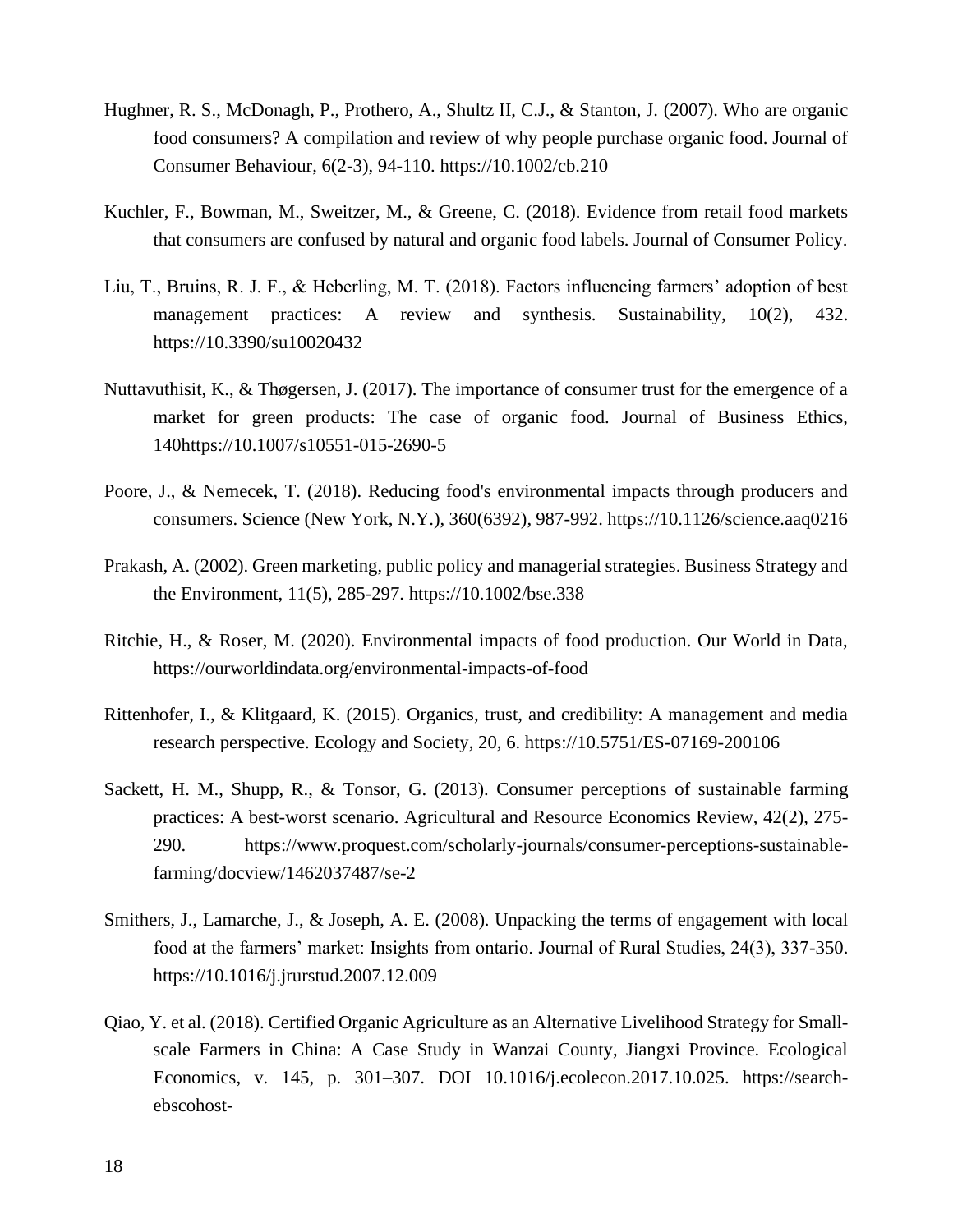- Hughner, R. S., McDonagh, P., Prothero, A., Shultz II, C.J., & Stanton, J. (2007). Who are organic food consumers? A compilation and review of why people purchase organic food. Journal of Consumer Behaviour, 6(2-3), 94-110. https://10.1002/cb.210
- Kuchler, F., Bowman, M., Sweitzer, M., & Greene, C. (2018). Evidence from retail food markets that consumers are confused by natural and organic food labels. Journal of Consumer Policy.
- Liu, T., Bruins, R. J. F., & Heberling, M. T. (2018). Factors influencing farmers' adoption of best management practices: A review and synthesis. Sustainability, 10(2), 432. https://10.3390/su10020432
- Nuttavuthisit, K., & Thøgersen, J. (2017). The importance of consumer trust for the emergence of a market for green products: The case of organic food. Journal of Business Ethics, 140https://10.1007/s10551-015-2690-5
- Poore, J., & Nemecek, T. (2018). Reducing food's environmental impacts through producers and consumers. Science (New York, N.Y.), 360(6392), 987-992. https://10.1126/science.aaq0216
- Prakash, A. (2002). Green marketing, public policy and managerial strategies. Business Strategy and the Environment, 11(5), 285-297. https://10.1002/bse.338
- Ritchie, H., & Roser, M. (2020). Environmental impacts of food production. Our World in Data, https://ourworldindata.org/environmental-impacts-of-food
- Rittenhofer, I., & Klitgaard, K. (2015). Organics, trust, and credibility: A management and media research perspective. Ecology and Society, 20, 6. https://10.5751/ES-07169-200106
- Sackett, H. M., Shupp, R., & Tonsor, G. (2013). Consumer perceptions of sustainable farming practices: A best-worst scenario. Agricultural and Resource Economics Review, 42(2), 275- 290. https://www.proquest.com/scholarly-journals/consumer-perceptions-sustainablefarming/docview/1462037487/se-2
- Smithers, J., Lamarche, J., & Joseph, A. E. (2008). Unpacking the terms of engagement with local food at the farmers' market: Insights from ontario. Journal of Rural Studies, 24(3), 337-350. https://10.1016/j.jrurstud.2007.12.009
- Qiao, Y. et al. (2018). Certified Organic Agriculture as an Alternative Livelihood Strategy for Smallscale Farmers in China: A Case Study in Wanzai County, Jiangxi Province. Ecological Economics, v. 145, p. 301–307. DOI 10.1016/j.ecolecon.2017.10.025. https://searchebscohost-